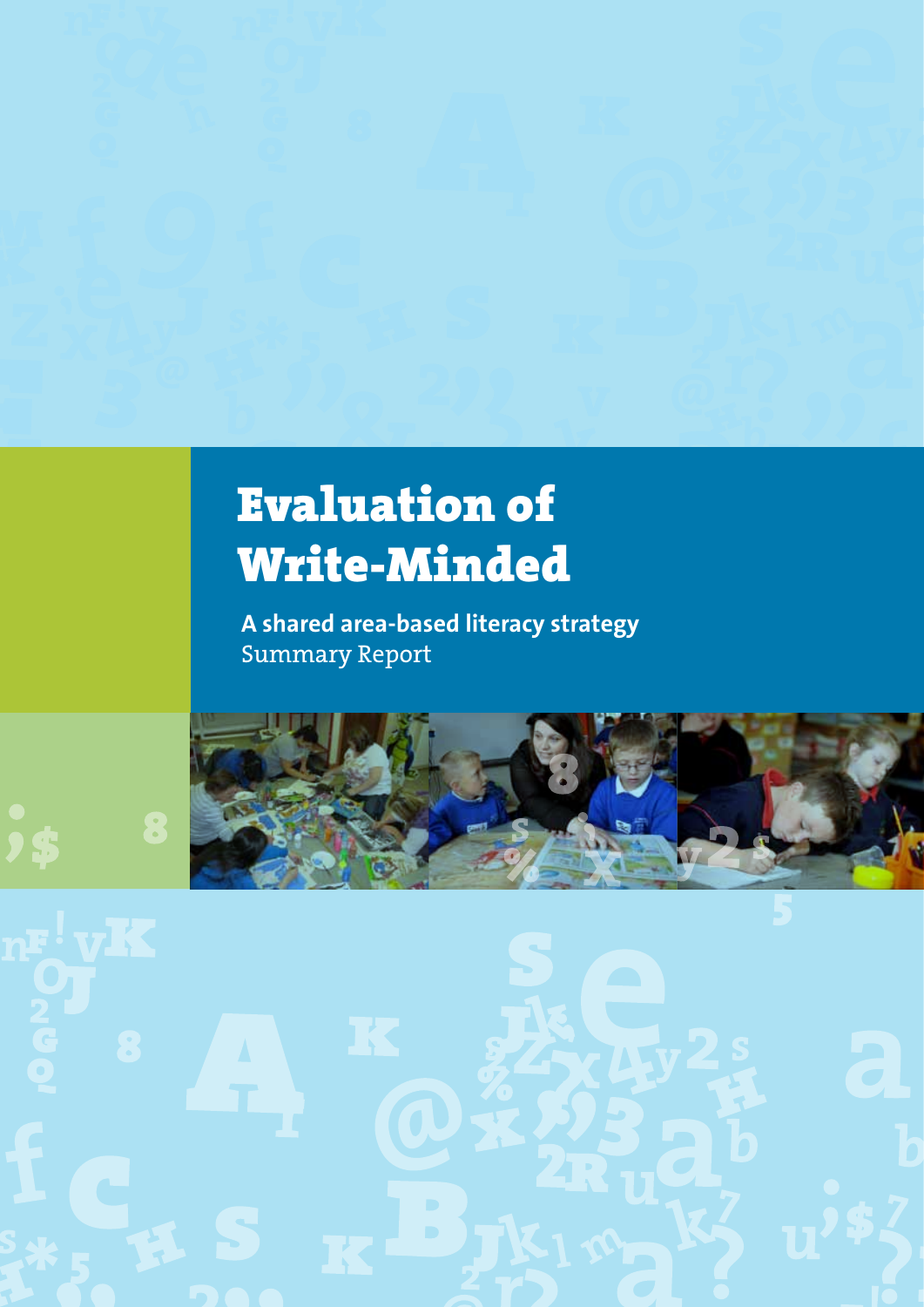# Evaluation of Write-Minded

**A shared area-based literacy strategy** Summary Report

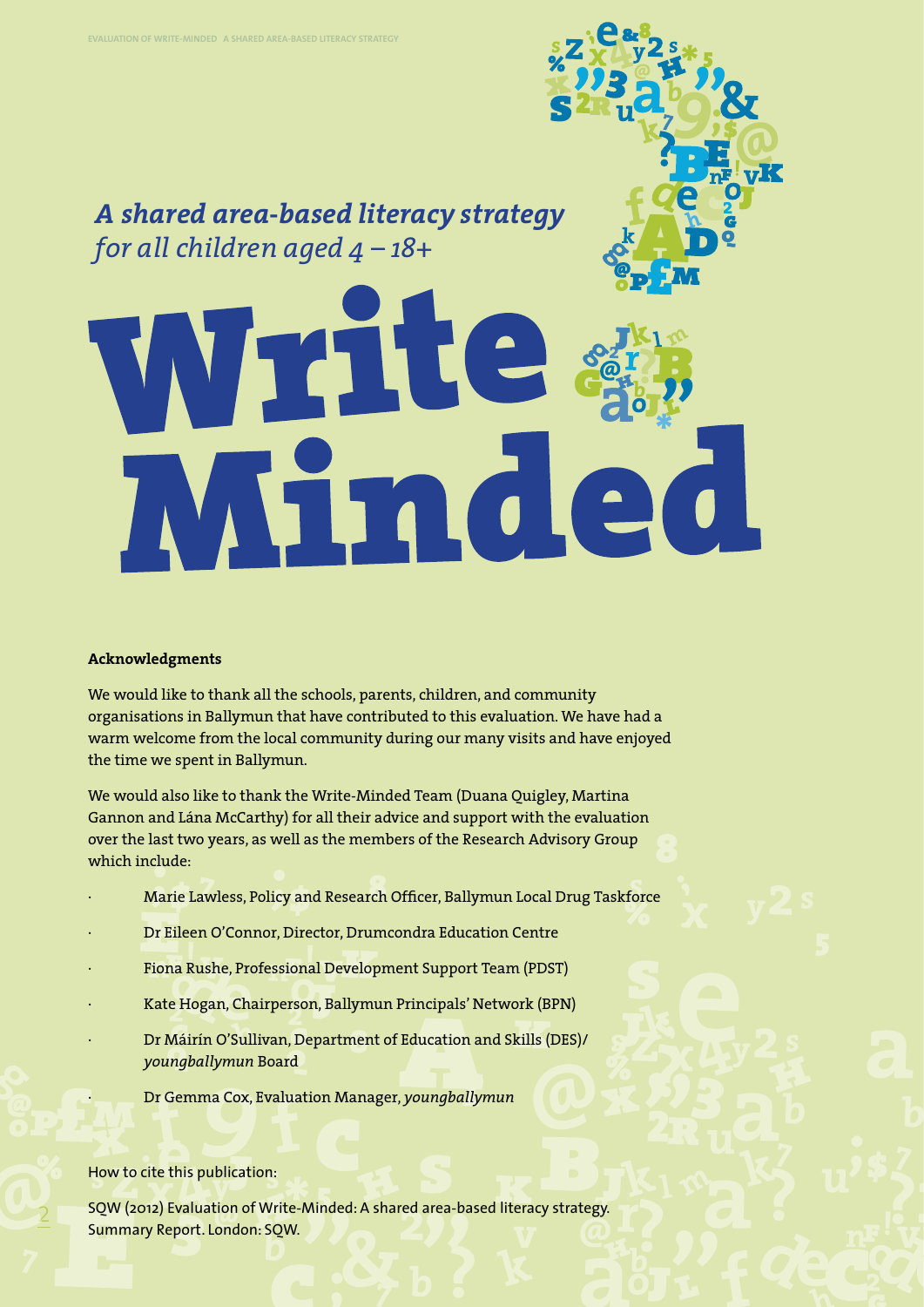

#### **Acknowledgments**

We would like to thank all the schools, parents, children, and community organisations in Ballymun that have contributed to this evaluation. We have had a warm welcome from the local community during our many visits and have enjoyed the time we spent in Ballymun.

We would also like to thank the Write-Minded Team (Duana Quigley, Martina Gannon and Lána McCarthy) for all their advice and support with the evaluation over the last two years, as well as the members of the Research Advisory Group which include:

- Marie Lawless, Policy and Research Officer, Ballymun Local Drug Taskforce
- · Dr Eileen O'Connor, Director, Drumcondra Education Centre
- · Fiona Rushe, Professional Development Support Team (PDST)
- · Kate Hogan, Chairperson, Ballymun Principals' Network (BPN)
	- · Dr Máirín O'Sullivan, Department of Education and Skills (DES)/ *youngballymun* Board
		- · Dr Gemma Cox, Evaluation Manager, *youngballymun*

How to cite this publication:

SQW (2012) Evaluation of Write-Minded: A shared area-based literacy strategy. Summary Report. London: SQW.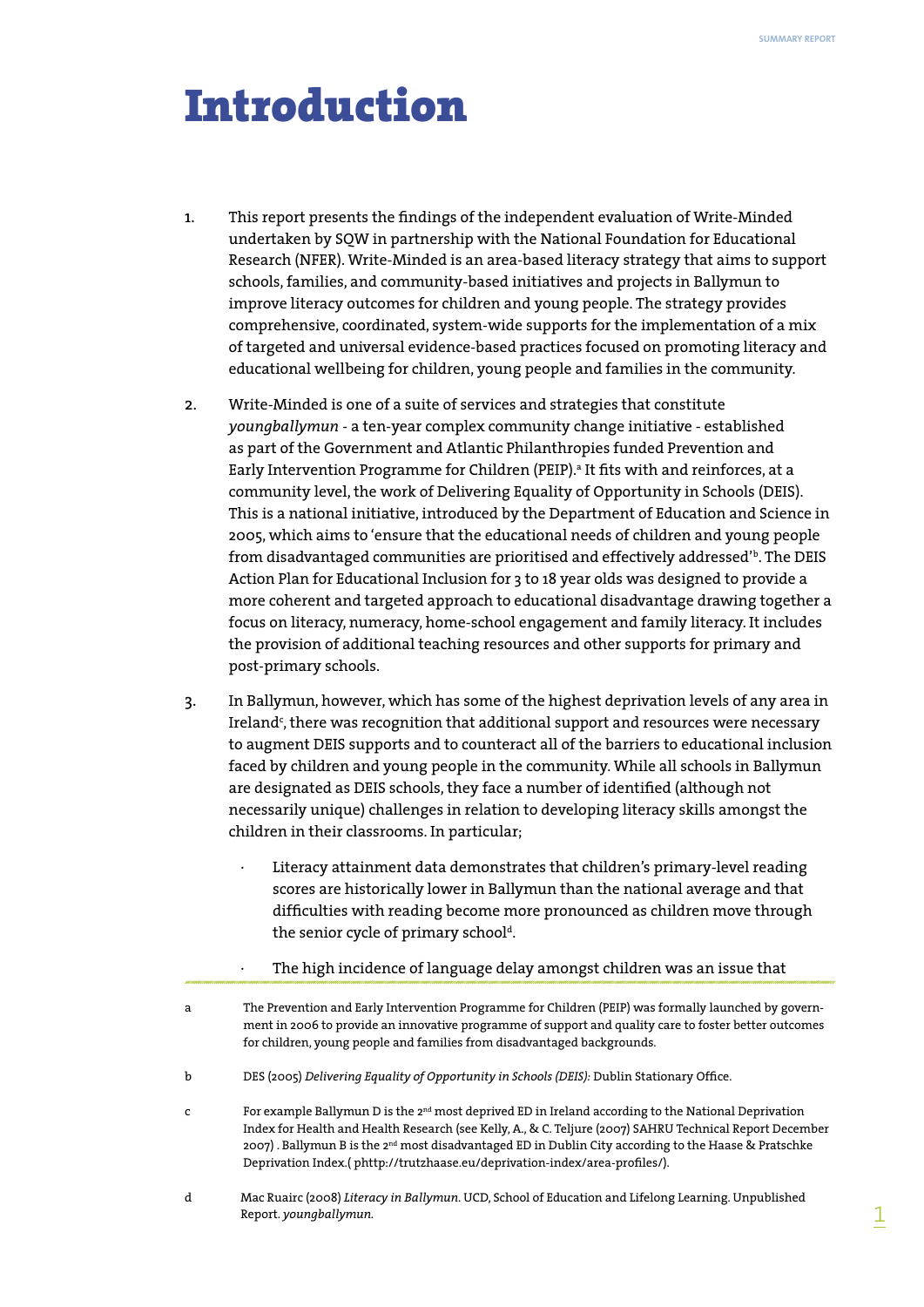### Introduction

- 1. This report presents the findings of the independent evaluation of Write-Minded undertaken by SQW in partnership with the National Foundation for Educational Research (NFER). Write-Minded is an area-based literacy strategy that aims to support schools, families, and community-based initiatives and projects in Ballymun to improve literacy outcomes for children and young people. The strategy provides comprehensive, coordinated, system-wide supports for the implementation of a mix of targeted and universal evidence-based practices focused on promoting literacy and educational wellbeing for children, young people and families in the community.
- 2. Write-Minded is one of a suite of services and strategies that constitute *youngballymun* - a ten-year complex community change initiative - established as part of the Government and Atlantic Philanthropies funded Prevention and Early Intervention Programme for Children (PEIP).ª It fits with and reinforces, at a community level, the work of Delivering Equality of Opportunity in Schools (DEIS). This is a national initiative, introduced by the Department of Education and Science in 2005, which aims to 'ensure that the educational needs of children and young people from disadvantaged communities are prioritised and effectively addressed'b . The DEIS Action Plan for Educational Inclusion for 3 to 18 year olds was designed to provide a more coherent and targeted approach to educational disadvantage drawing together a focus on literacy, numeracy, home-school engagement and family literacy. It includes the provision of additional teaching resources and other supports for primary and post-primary schools.
- 3. In Ballymun, however, which has some of the highest deprivation levels of any area in Ireland<sup>c</sup>, there was recognition that additional support and resources were necessary to augment DEIS supports and to counteract all of the barriers to educational inclusion faced by children and young people in the community. While all schools in Ballymun are designated as DEIS schools, they face a number of identified (although not necessarily unique) challenges in relation to developing literacy skills amongst the children in their classrooms. In particular;
	- Literacy attainment data demonstrates that children's primary-level reading scores are historically lower in Ballymun than the national average and that difficulties with reading become more pronounced as children move through the senior cycle of primary schoold.
	- · The high incidence of language delay amongst children was an issue that
- a The Prevention and Early Intervention Programme for Children (PEIP) was formally launched by government in 2006 to provide an innovative programme of support and quality care to foster better outcomes for children, young people and families from disadvantaged backgrounds.
- b DES (2005) *Delivering Equality of Opportunity in Schools (DEIS):* Dublin Stationary Office.
- c For example Ballymun D is the 2nd most deprived ED in Ireland according to the National Deprivation Index for Health and Health Research (see Kelly, A., & C. Teljure (2007) SAHRU Technical Report December 2007) . Ballymun B is the 2<sup>nd</sup> most disadvantaged ED in Dublin City according to the Haase & Pratschke Deprivation Index.( phttp://trutzhaase.eu/deprivation-index/area-profiles/).
- d Mac Ruairc (2008) *Literacy in Ballymun.* UCD, School of Education and Lifelong Learning. Unpublished Report. *youngballymun.*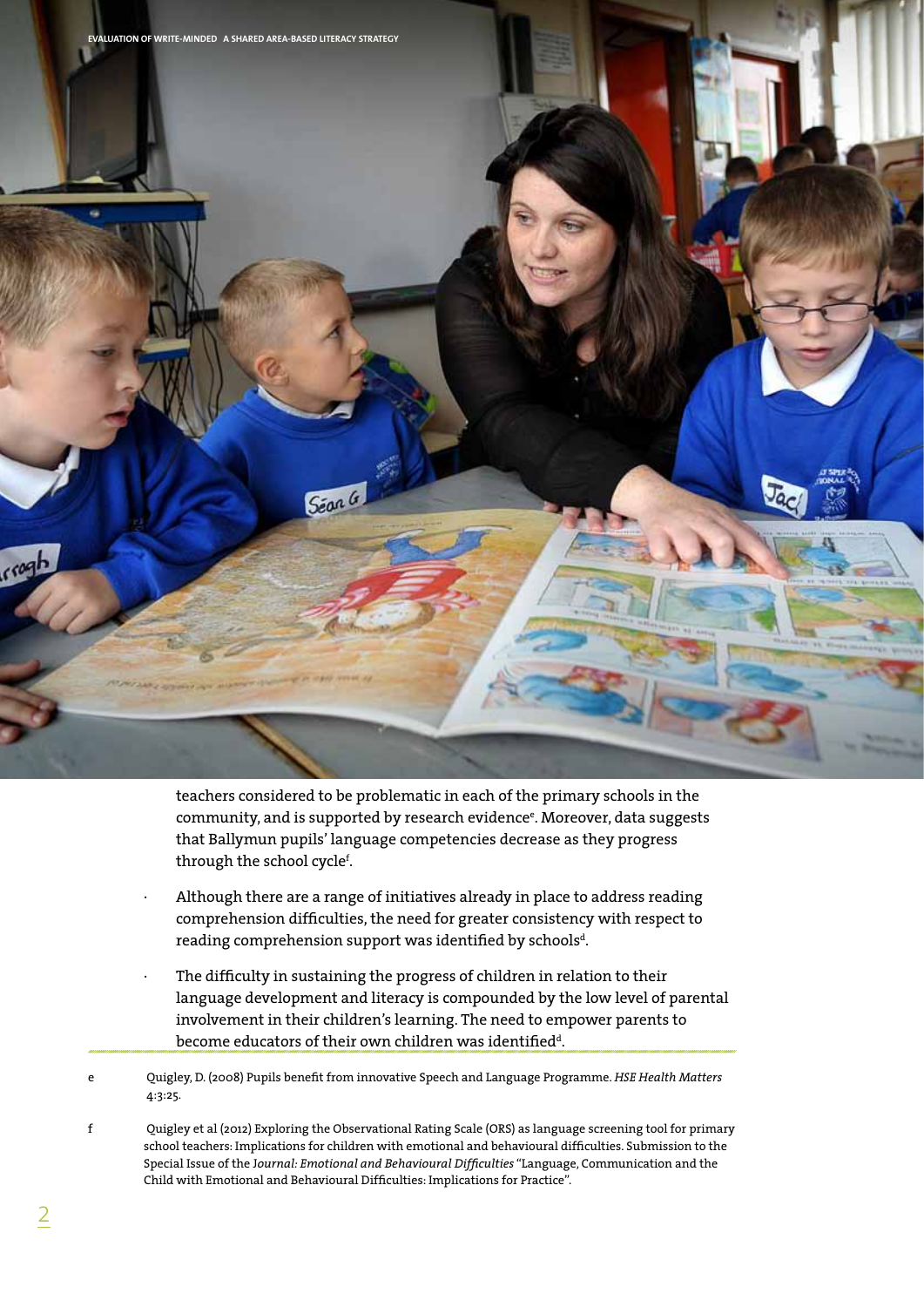

teachers considered to be problematic in each of the primary schools in the community, and is supported by research evidence<sup>e</sup>. Moreover, data suggests that Ballymun pupils' language competencies decrease as they progress through the school cycle<sup>f</sup>.

- Although there are a range of initiatives already in place to address reading comprehension difficulties, the need for greater consistency with respect to reading comprehension support was identified by schools<sup>d</sup>.
- The difficulty in sustaining the progress of children in relation to their language development and literacy is compounded by the low level of parental involvement in their children's learning. The need to empower parents to become educators of their own children was identified<sup>d</sup>.
- e Quigley, D. (2008) Pupils benefit from innovative Speech and Language Programme. *HSE Health Matters* 4:3:25.
- f Quigley et al (2012) Exploring the Observational Rating Scale (ORS) as language screening tool for primary school teachers: Implications for children with emotional and behavioural difficulties. Submission to the Special Issue of the J*ournal: Emotional and Behavioural Difficulties* "Language, Communication and the Child with Emotional and Behavioural Difficulties: Implications for Practice".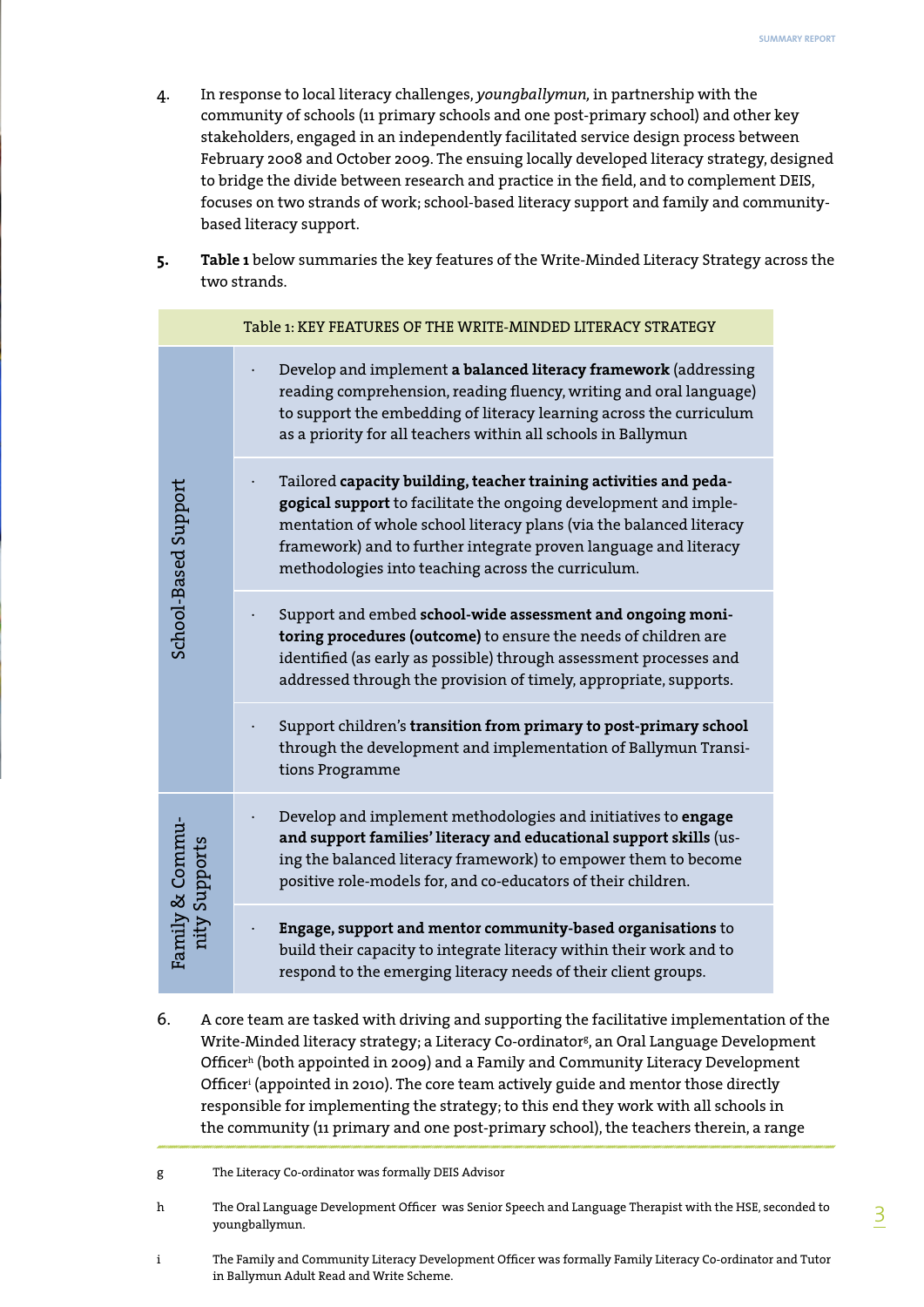- 4. In response to local literacy challenges, *youngballymun,* in partnership with the community of schools (11 primary schools and one post-primary school) and other key stakeholders, engaged in an independently facilitated service design process between February 2008 and October 2009. The ensuing locally developed literacy strategy, designed to bridge the divide between research and practice in the field, and to complement DEIS, focuses on two strands of work; school-based literacy support and family and communitybased literacy support.
- **5. Table 1** below summaries the key features of the Write-Minded Literacy Strategy across the two strands.

|                                  | Table 1: KEY FEATURES OF THE WRITE-MINDED LITERACY STRATEGY                                                                                                                                                                                                                                                                            |
|----------------------------------|----------------------------------------------------------------------------------------------------------------------------------------------------------------------------------------------------------------------------------------------------------------------------------------------------------------------------------------|
| School-Based Support             | Develop and implement a balanced literacy framework (addressing<br>reading comprehension, reading fluency, writing and oral language)<br>to support the embedding of literacy learning across the curriculum<br>as a priority for all teachers within all schools in Ballymun                                                          |
|                                  | Tailored capacity building, teacher training activities and peda-<br>gogical support to facilitate the ongoing development and imple-<br>mentation of whole school literacy plans (via the balanced literacy<br>framework) and to further integrate proven language and literacy<br>methodologies into teaching across the curriculum. |
|                                  | Support and embed school-wide assessment and ongoing moni-<br>toring procedures (outcome) to ensure the needs of children are<br>identified (as early as possible) through assessment processes and<br>addressed through the provision of timely, appropriate, supports.                                                               |
|                                  | Support children's transition from primary to post-primary school<br>through the development and implementation of Ballymun Transi-<br>tions Programme                                                                                                                                                                                 |
| Family & Commu-<br>nity Supports | Develop and implement methodologies and initiatives to engage<br>and support families' literacy and educational support skills (us-<br>ing the balanced literacy framework) to empower them to become<br>positive role-models for, and co-educators of their children.                                                                 |
|                                  | Engage, support and mentor community-based organisations to<br>build their capacity to integrate literacy within their work and to<br>respond to the emerging literacy needs of their client groups.                                                                                                                                   |

- 6. A core team are tasked with driving and supporting the facilitative implementation of the Write-Minded literacy strategy; a Literacy Co-ordinatorg , an Oral Language Development Officerh (both appointed in 2009) and a Family and Community Literacy Development Officeri (appointed in 2010). The core team actively guide and mentor those directly responsible for implementing the strategy; to this end they work with all schools in the community (11 primary and one post-primary school), the teachers therein, a range
- g The Literacy Co-ordinator was formally DEIS Advisor
- h The Oral Language Development Officer was Senior Speech and Language Therapist with the HSE, seconded to youngballymun.
- i The Family and Community Literacy Development Officer was formally Family Literacy Co-ordinator and Tutor in Ballymun Adult Read and Write Scheme.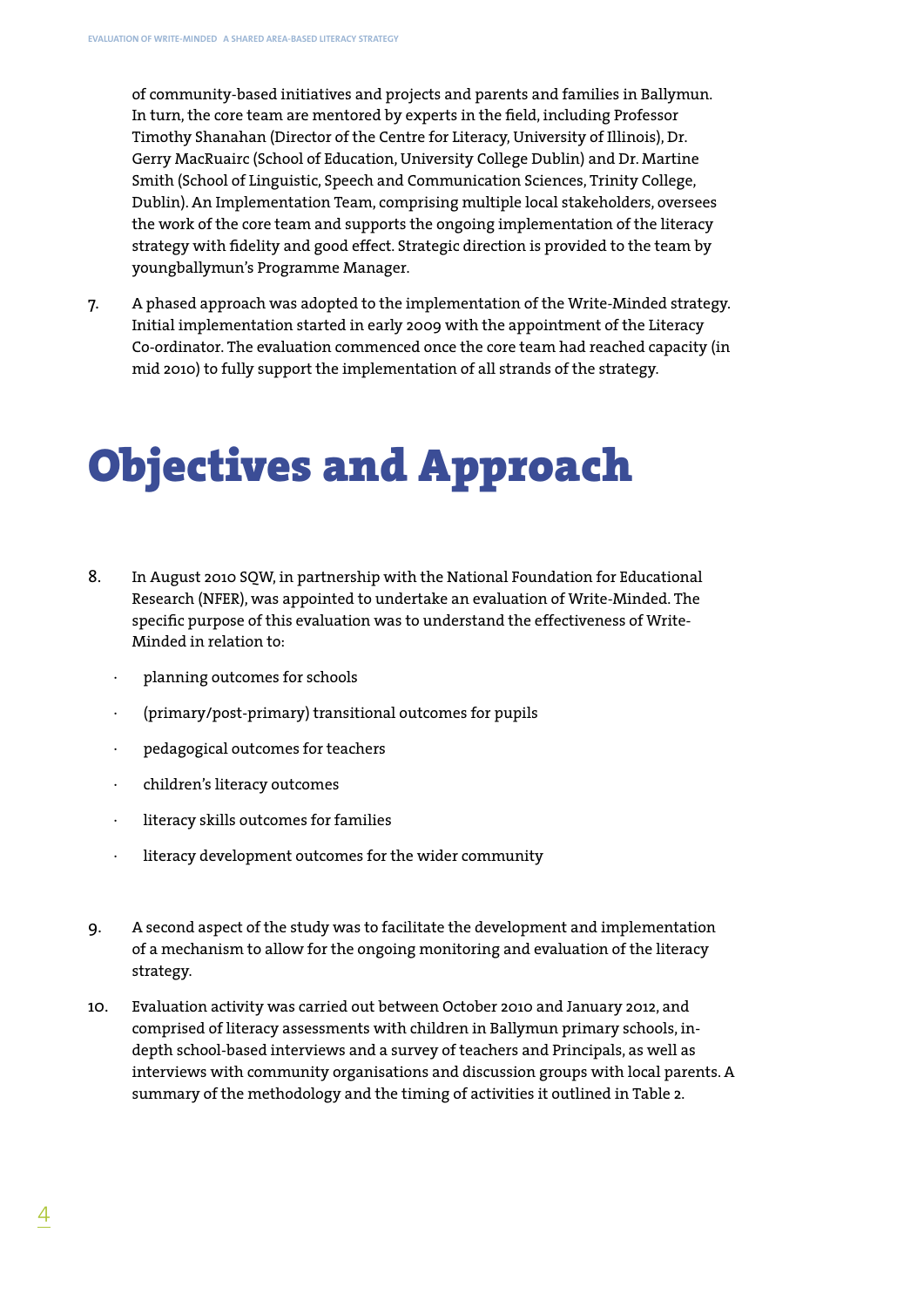of community-based initiatives and projects and parents and families in Ballymun. In turn, the core team are mentored by experts in the field, including Professor Timothy Shanahan (Director of the Centre for Literacy, University of Illinois), Dr. Gerry MacRuairc (School of Education, University College Dublin) and Dr. Martine Smith (School of Linguistic, Speech and Communication Sciences, Trinity College, Dublin). An Implementation Team, comprising multiple local stakeholders, oversees the work of the core team and supports the ongoing implementation of the literacy strategy with fidelity and good effect. Strategic direction is provided to the team by youngballymun's Programme Manager.

7. A phased approach was adopted to the implementation of the Write-Minded strategy. Initial implementation started in early 2009 with the appointment of the Literacy Co-ordinator. The evaluation commenced once the core team had reached capacity (in mid 2010) to fully support the implementation of all strands of the strategy.

## Objectives and Approach

- 8. In August 2010 SQW, in partnership with the National Foundation for Educational Research (NFER), was appointed to undertake an evaluation of Write-Minded. The specific purpose of this evaluation was to understand the effectiveness of Write-Minded in relation to:
	- · planning outcomes for schools
	- · (primary/post-primary) transitional outcomes for pupils
	- · pedagogical outcomes for teachers
	- children's literacy outcomes
	- · literacy skills outcomes for families
	- · literacy development outcomes for the wider community
- 9. A second aspect of the study was to facilitate the development and implementation of a mechanism to allow for the ongoing monitoring and evaluation of the literacy strategy.
- 10. Evaluation activity was carried out between October 2010 and January 2012, and comprised of literacy assessments with children in Ballymun primary schools, indepth school-based interviews and a survey of teachers and Principals, as well as interviews with community organisations and discussion groups with local parents. A summary of the methodology and the timing of activities it outlined in Table 2.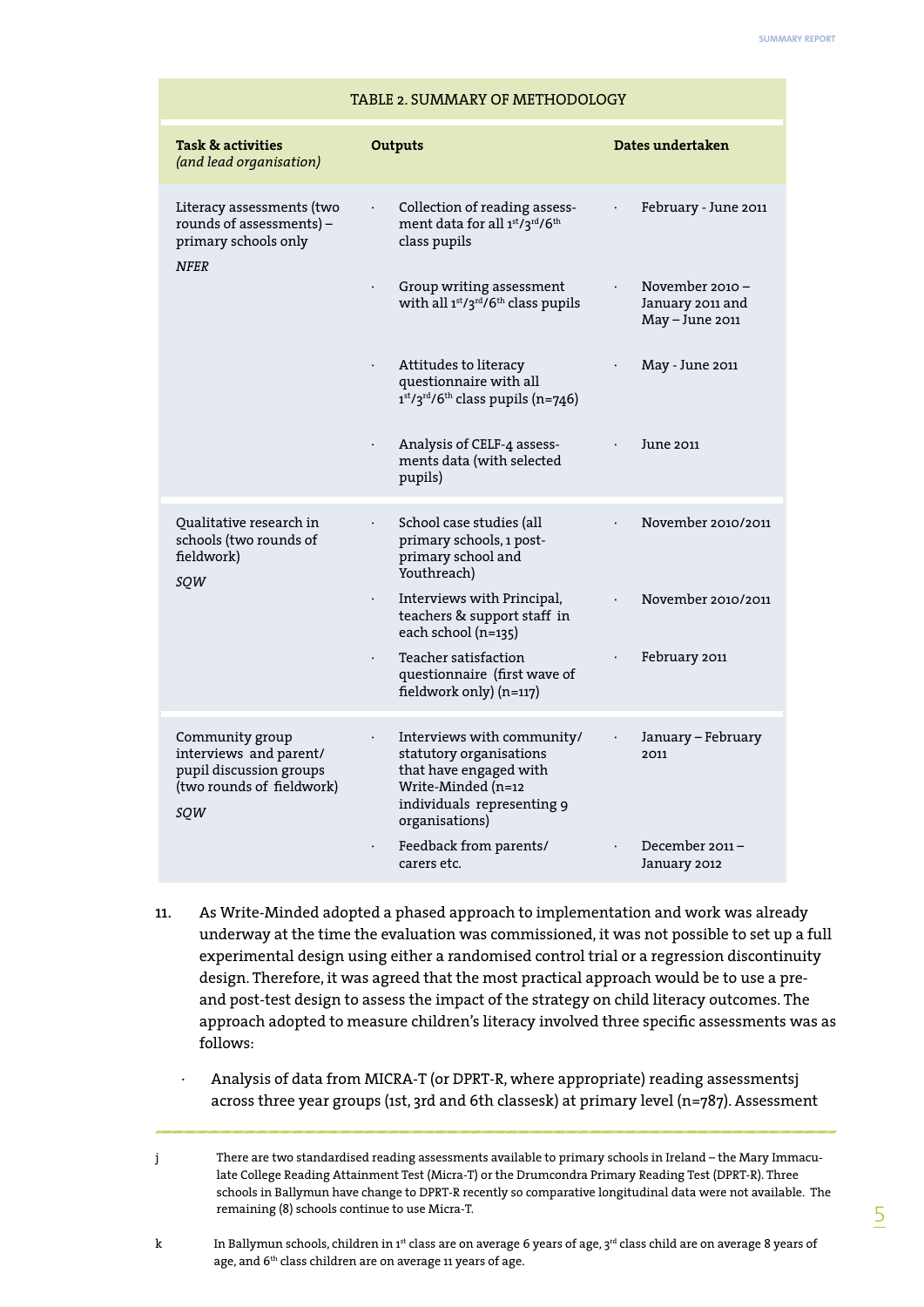| Task & activities<br>(and lead organisation)                                                             | Outputs                                                                                                                                               | Dates undertaken                                         |
|----------------------------------------------------------------------------------------------------------|-------------------------------------------------------------------------------------------------------------------------------------------------------|----------------------------------------------------------|
| Literacy assessments (two<br>rounds of assessments) -<br>primary schools only<br><b>NFER</b>             | Collection of reading assess-<br>ment data for all 1st/3rd/6th<br>class pupils                                                                        | February - June 2011                                     |
|                                                                                                          | Group writing assessment<br>with all 1st/3rd/6th class pupils                                                                                         | November 2010 $-$<br>January 2011 and<br>May - June 2011 |
|                                                                                                          | Attitudes to literacy<br>questionnaire with all<br>$1st/3rd/6th class pupils (n=746)$                                                                 | May - June 2011                                          |
|                                                                                                          | Analysis of CELF-4 assess-<br>ments data (with selected<br>pupils)                                                                                    | June 2011                                                |
| Qualitative research in<br>schools (two rounds of<br>fieldwork)<br>sow                                   | School case studies (all<br>primary schools, 1 post-<br>primary school and<br>Youthreach)                                                             | November 2010/2011                                       |
|                                                                                                          | Interviews with Principal,<br>$\ddot{\phantom{0}}$<br>teachers & support staff in<br>each school (n=135)                                              | November 2010/2011                                       |
|                                                                                                          | Teacher satisfaction<br>questionnaire (first wave of<br>fieldwork only) (n=117)                                                                       | February 2011                                            |
| Community group<br>interviews and parent/<br>pupil discussion groups<br>(two rounds of fieldwork)<br>sow | Interviews with community/<br>statutory organisations<br>that have engaged with<br>Write-Minded (n=12<br>individuals representing 9<br>organisations) | January - February<br>2011                               |
|                                                                                                          | Feedback from parents/<br>carers etc.                                                                                                                 | December 2011-<br>January 2012                           |

- 11. As Write-Minded adopted a phased approach to implementation and work was already underway at the time the evaluation was commissioned, it was not possible to set up a full experimental design using either a randomised control trial or a regression discontinuity design. Therefore, it was agreed that the most practical approach would be to use a preand post-test design to assess the impact of the strategy on child literacy outcomes. The approach adopted to measure children's literacy involved three specific assessments was as follows:
	- · Analysis of data from MICRA-T (or DPRT-R, where appropriate) reading assessmentsj across three year groups (1st, 3rd and 6th classesk) at primary level (n=787). Assessment
- j There are two standardised reading assessments available to primary schools in Ireland the Mary Immaculate College Reading Attainment Test (Micra-T) or the Drumcondra Primary Reading Test (DPRT-R). Three schools in Ballymun have change to DPRT-R recently so comparative longitudinal data were not available. The remaining (8) schools continue to use Micra-T.
- k In Ballymun schools, children in 1st class are on average 6 years of age,  $3^{rd}$  class child are on average 8 years of age, and 6<sup>th</sup> class children are on average 11 years of age.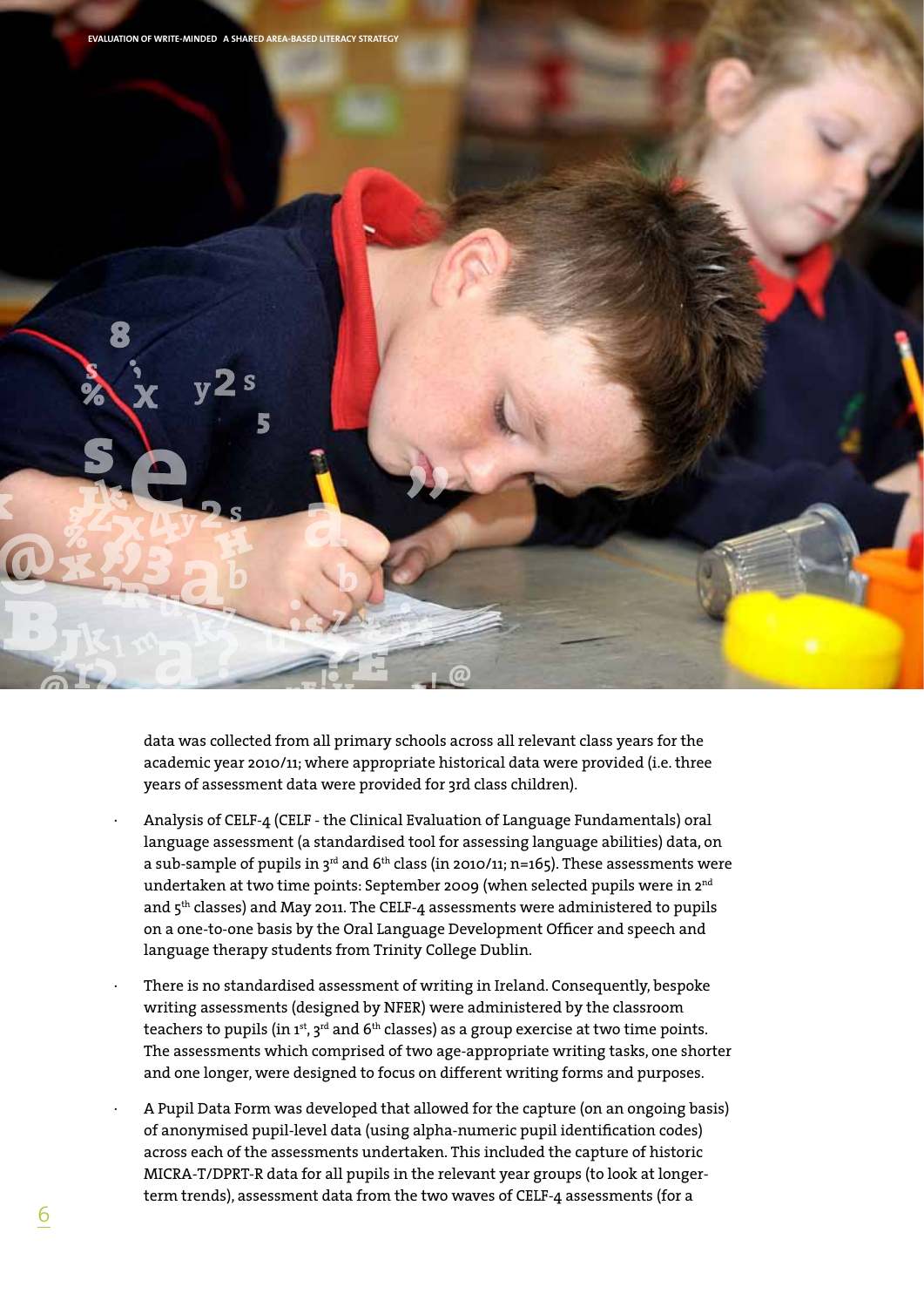



data was collected from all primary schools across all relevant class years for the academic year 2010/11; where appropriate historical data were provided (i.e. three years of assessment data were provided for 3rd class children).

- Analysis of CELF-4 (CELF the Clinical Evaluation of Language Fundamentals) oral language assessment (a standardised tool for assessing language abilities) data, on a sub-sample of pupils in  $3^{rd}$  and  $6^{th}$  class (in 2010/11; n=165). These assessments were undertaken at two time points: September 2009 (when selected pupils were in 2<sup>nd</sup> and 5<sup>th</sup> classes) and May 2011. The CELF-4 assessments were administered to pupils on a one-to-one basis by the Oral Language Development Officer and speech and language therapy students from Trinity College Dublin.
- There is no standardised assessment of writing in Ireland. Consequently, bespoke writing assessments (designed by NFER) were administered by the classroom teachers to pupils (in  $1^{st}$ ,  $3^{rd}$  and  $6^{th}$  classes) as a group exercise at two time points. The assessments which comprised of two age-appropriate writing tasks, one shorter and one longer, were designed to focus on different writing forms and purposes.
- · A Pupil Data Form was developed that allowed for the capture (on an ongoing basis) of anonymised pupil-level data (using alpha-numeric pupil identification codes) across each of the assessments undertaken. This included the capture of historic MICRA-T/DPRT-R data for all pupils in the relevant year groups (to look at longerterm trends), assessment data from the two waves of CELF-4 assessments (for a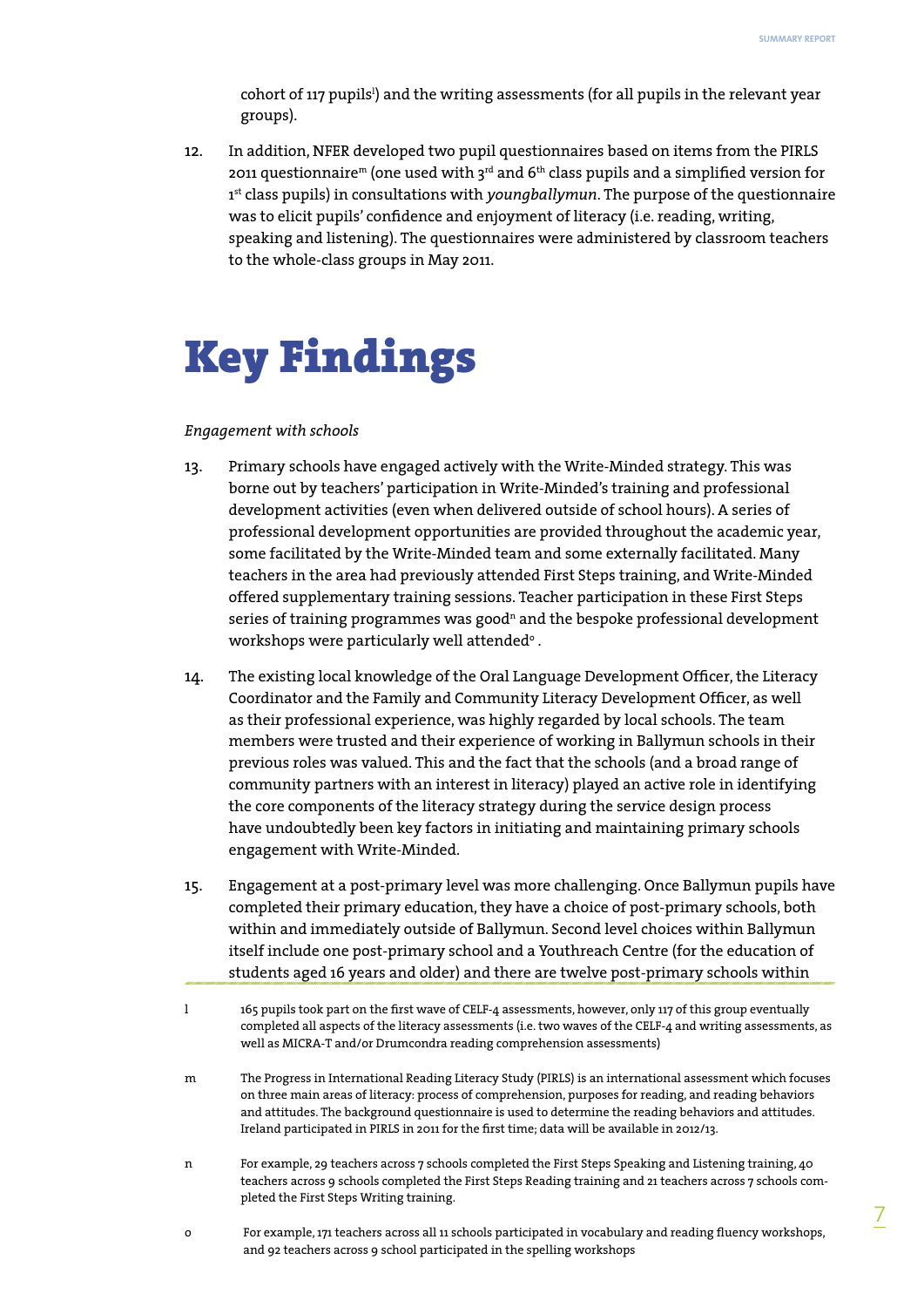cohort of 117 pupils') and the writing assessments (for all pupils in the relevant year groups).

12. In addition, NFER developed two pupil questionnaires based on items from the PIRLS 2011 questionnaire<sup>m</sup> (one used with  $3^{rd}$  and 6<sup>th</sup> class pupils and a simplified version for 1st class pupils) in consultations with *youngballymun*. The purpose of the questionnaire was to elicit pupils' confidence and enjoyment of literacy (i.e. reading, writing, speaking and listening). The questionnaires were administered by classroom teachers to the whole-class groups in May 2011.

## Key Findings

#### *Engagement with schools*

- 13. Primary schools have engaged actively with the Write-Minded strategy. This was borne out by teachers' participation in Write-Minded's training and professional development activities (even when delivered outside of school hours). A series of professional development opportunities are provided throughout the academic year, some facilitated by the Write-Minded team and some externally facilitated. Many teachers in the area had previously attended First Steps training, and Write-Minded offered supplementary training sessions. Teacher participation in these First Steps series of training programmes was good<sup>n</sup> and the bespoke professional development workshops were particularly well attended $^{\circ}$  .
- 14. The existing local knowledge of the Oral Language Development Officer, the Literacy Coordinator and the Family and Community Literacy Development Officer, as well as their professional experience, was highly regarded by local schools. The team members were trusted and their experience of working in Ballymun schools in their previous roles was valued. This and the fact that the schools (and a broad range of community partners with an interest in literacy) played an active role in identifying the core components of the literacy strategy during the service design process have undoubtedly been key factors in initiating and maintaining primary schools engagement with Write-Minded.
- 15. Engagement at a post-primary level was more challenging. Once Ballymun pupils have completed their primary education, they have a choice of post-primary schools, both within and immediately outside of Ballymun. Second level choices within Ballymun itself include one post-primary school and a Youthreach Centre (for the education of students aged 16 years and older) and there are twelve post-primary schools within
- l 165 pupils took part on the first wave of CELF-4 assessments, however, only 117 of this group eventually completed all aspects of the literacy assessments (i.e. two waves of the CELF-4 and writing assessments, as well as MICRA-T and/or Drumcondra reading comprehension assessments)
- m The Progress in International Reading Literacy Study (PIRLS) is an international assessment which focuses on three main areas of literacy: process of comprehension, purposes for reading, and reading behaviors and attitudes. The background questionnaire is used to determine the reading behaviors and attitudes. Ireland participated in PIRLS in 2011 for the first time; data will be available in 2012/13.
- n For example, 29 teachers across 7 schools completed the First Steps Speaking and Listening training, 40 teachers across 9 schools completed the First Steps Reading training and 21 teachers across 7 schools completed the First Steps Writing training.
- o For example, 171 teachers across all 11 schools participated in vocabulary and reading fluency workshops, and 92 teachers across 9 school participated in the spelling workshops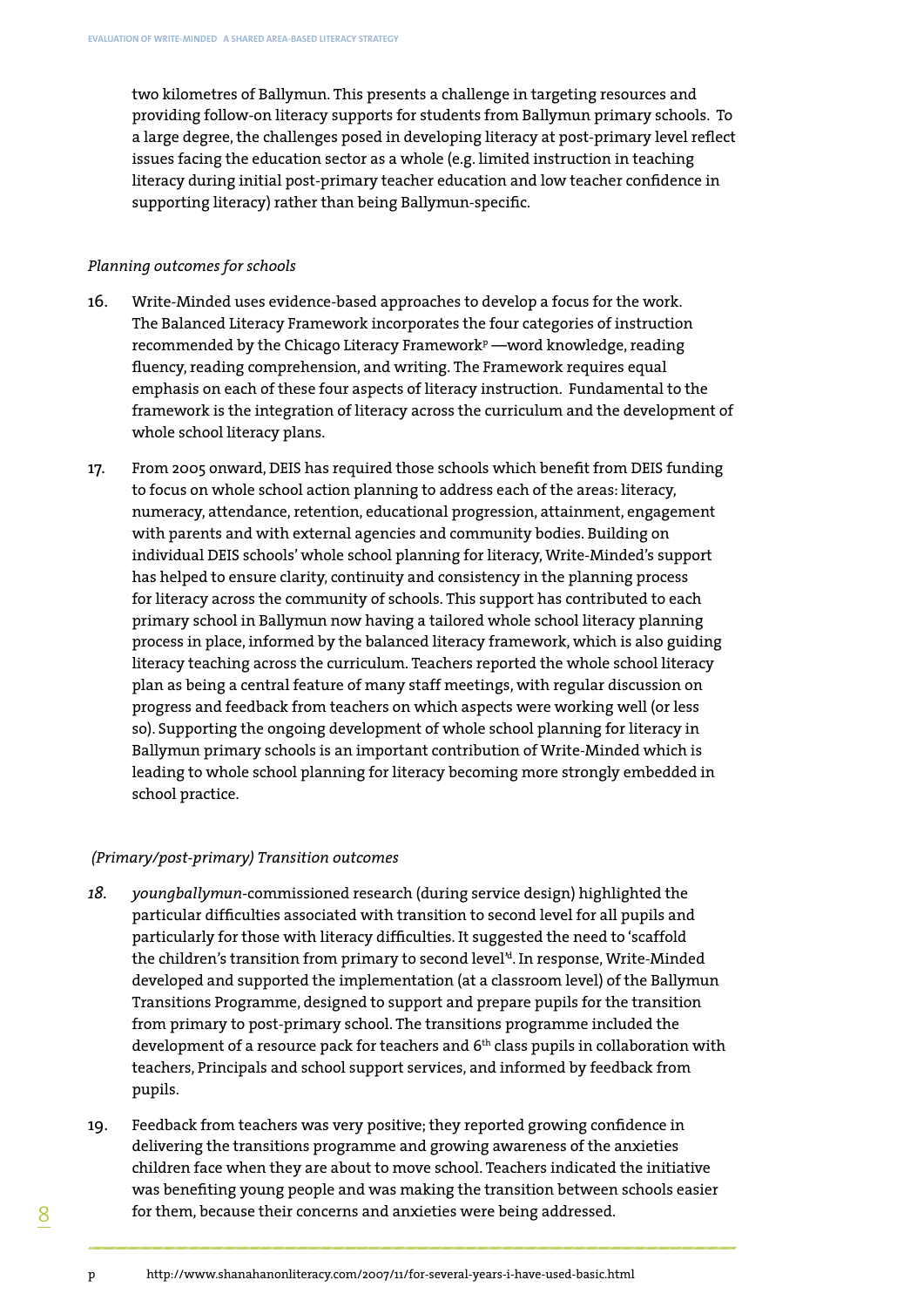two kilometres of Ballymun. This presents a challenge in targeting resources and providing follow-on literacy supports for students from Ballymun primary schools. To a large degree, the challenges posed in developing literacy at post-primary level reflect issues facing the education sector as a whole (e.g. limited instruction in teaching literacy during initial post-primary teacher education and low teacher confidence in supporting literacy) rather than being Ballymun-specific.

#### *Planning outcomes for schools*

- 16. Write-Minded uses evidence-based approaches to develop a focus for the work. The Balanced Literacy Framework incorporates the four categories of instruction recommended by the Chicago Literacy Framework<sup>p</sup> —word knowledge, reading fluency, reading comprehension, and writing. The Framework requires equal emphasis on each of these four aspects of literacy instruction. Fundamental to the framework is the integration of literacy across the curriculum and the development of whole school literacy plans.
- 17. From 2005 onward, DEIS has required those schools which benefit from DEIS funding to focus on whole school action planning to address each of the areas: literacy, numeracy, attendance, retention, educational progression, attainment, engagement with parents and with external agencies and community bodies. Building on individual DEIS schools' whole school planning for literacy, Write-Minded's support has helped to ensure clarity, continuity and consistency in the planning process for literacy across the community of schools. This support has contributed to each primary school in Ballymun now having a tailored whole school literacy planning process in place, informed by the balanced literacy framework, which is also guiding literacy teaching across the curriculum. Teachers reported the whole school literacy plan as being a central feature of many staff meetings, with regular discussion on progress and feedback from teachers on which aspects were working well (or less so). Supporting the ongoing development of whole school planning for literacy in Ballymun primary schools is an important contribution of Write-Minded which is leading to whole school planning for literacy becoming more strongly embedded in school practice.

#### *(Primary/post-primary) Transition outcomes*

- *18. youngballymun*-commissioned research (during service design) highlighted the particular difficulties associated with transition to second level for all pupils and particularly for those with literacy difficulties. It suggested the need to 'scaffold the children's transition from primary to second level'd. In response, Write-Minded developed and supported the implementation (at a classroom level) of the Ballymun Transitions Programme, designed to support and prepare pupils for the transition from primary to post-primary school. The transitions programme included the development of a resource pack for teachers and  $6<sup>th</sup>$  class pupils in collaboration with teachers, Principals and school support services, and informed by feedback from pupils.
- 19. Feedback from teachers was very positive; they reported growing confidence in delivering the transitions programme and growing awareness of the anxieties children face when they are about to move school. Teachers indicated the initiative was benefiting young people and was making the transition between schools easier for them, because their concerns and anxieties were being addressed.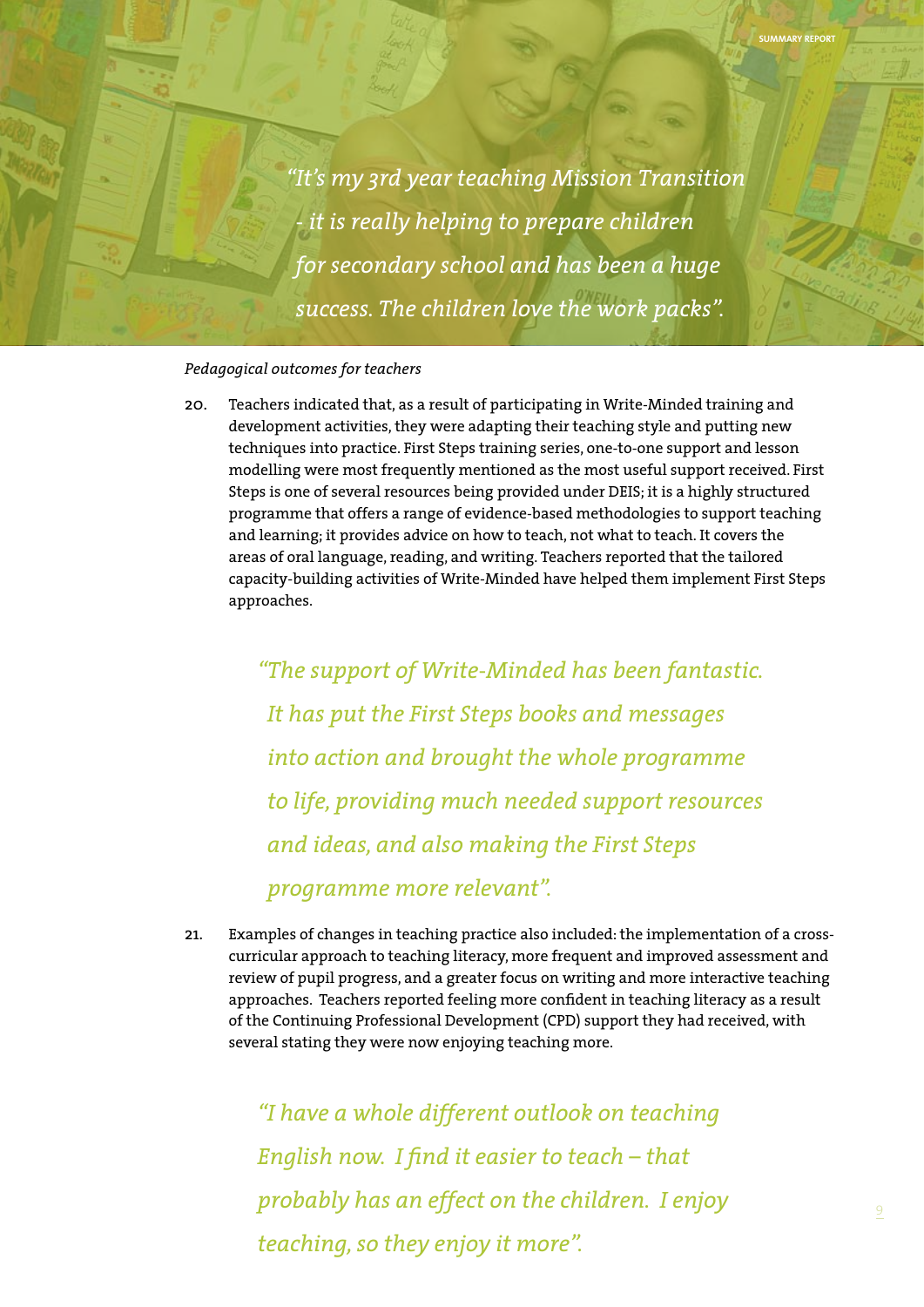*"It's my 3rd year teaching Mission Transition - it is really helping to prepare children for secondary school and has been a huge success. The children love the work packs".*

#### *Pedagogical outcomes for teachers*

20. Teachers indicated that, as a result of participating in Write-Minded training and development activities, they were adapting their teaching style and putting new techniques into practice. First Steps training series, one-to-one support and lesson modelling were most frequently mentioned as the most useful support received. First Steps is one of several resources being provided under DEIS; it is a highly structured programme that offers a range of evidence-based methodologies to support teaching and learning; it provides advice on how to teach, not what to teach. It covers the areas of oral language, reading, and writing. Teachers reported that the tailored capacity-building activities of Write-Minded have helped them implement First Steps approaches.

> *"The support of Write-Minded has been fantastic. It has put the First Steps books and messages into action and brought the whole programme to life, providing much needed support resources and ideas, and also making the First Steps programme more relevant".*

21. Examples of changes in teaching practice also included:the implementation of a crosscurricular approach to teaching literacy, more frequent and improved assessment and review of pupil progress, and a greater focus on writing and more interactive teaching approaches. Teachers reported feeling more confident in teaching literacy as a result of the Continuing Professional Development (CPD) support they had received, with several stating they were now enjoying teaching more.

> *"I have a whole different outlook on teaching English now. I find it easier to teach – that probably has an effect on the children. I enjoy teaching, so they enjoy it more".*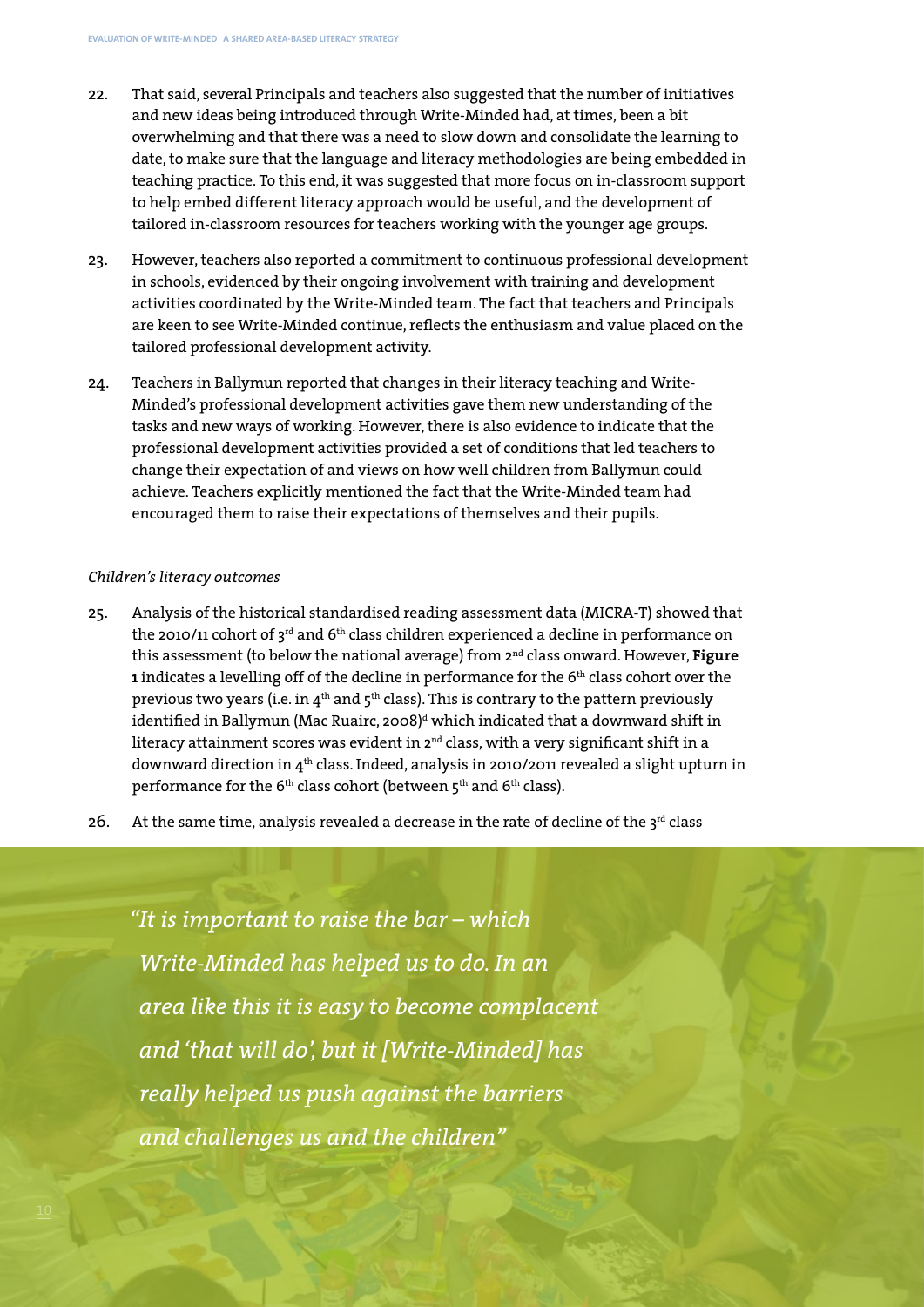- 22. That said, several Principals and teachers also suggested that the number of initiatives and new ideas being introduced through Write-Minded had, at times, been a bit overwhelming and that there was a need to slow down and consolidate the learning to date, to make sure that the language and literacy methodologies are being embedded in teaching practice. To this end, it was suggested that more focus on in-classroom support to help embed different literacy approach would be useful, and the development of tailored in-classroom resources for teachers working with the younger age groups.
- 23. However, teachers also reported a commitment to continuous professional development in schools, evidenced by their ongoing involvement with training and development activities coordinated by the Write-Minded team. The fact that teachers and Principals are keen to see Write-Minded continue, reflects the enthusiasm and value placed on the tailored professional development activity.
- 24. Teachers in Ballymun reported that changes in their literacy teaching and Write-Minded's professional development activities gave them new understanding of the tasks and new ways of working. However, there is also evidence to indicate that the professional development activities provided a set of conditions that led teachers to change their expectation of and views on how well children from Ballymun could achieve. Teachers explicitly mentioned the fact that the Write-Minded team had encouraged them to raise their expectations of themselves and their pupils.

#### *Children's literacy outcomes*

- 25. Analysis of the historical standardised reading assessment data (MICRA-T) showed that the 2010/11 cohort of  $3^{rd}$  and  $6^{th}$  class children experienced a decline in performance on this assessment (to below the national average) from 2nd class onward. However, **Figure** 1 indicates a levelling off of the decline in performance for the 6<sup>th</sup> class cohort over the previous two years (i.e. in  $4<sup>th</sup>$  and  $5<sup>th</sup>$  class). This is contrary to the pattern previously identified in Ballymun (Mac Ruairc, 2008)<sup>d</sup> which indicated that a downward shift in literacy attainment scores was evident in  $2<sup>nd</sup>$  class, with a very significant shift in a downward direction in 4<sup>th</sup> class. Indeed, analysis in 2010/2011 revealed a slight upturn in performance for the  $6<sup>th</sup>$  class cohort (between  $5<sup>th</sup>$  and  $6<sup>th</sup>$  class).
- 26. At the same time, analysis revealed a decrease in the rate of decline of the  $3<sup>rd</sup>$  class

 *"It is important to raise the bar – which Write-Minded has helped us to do. In an area like this it is easy to become complacent and 'that will do', but it [Write-Minded] has really helped us push against the barriers and challenges us and the children"*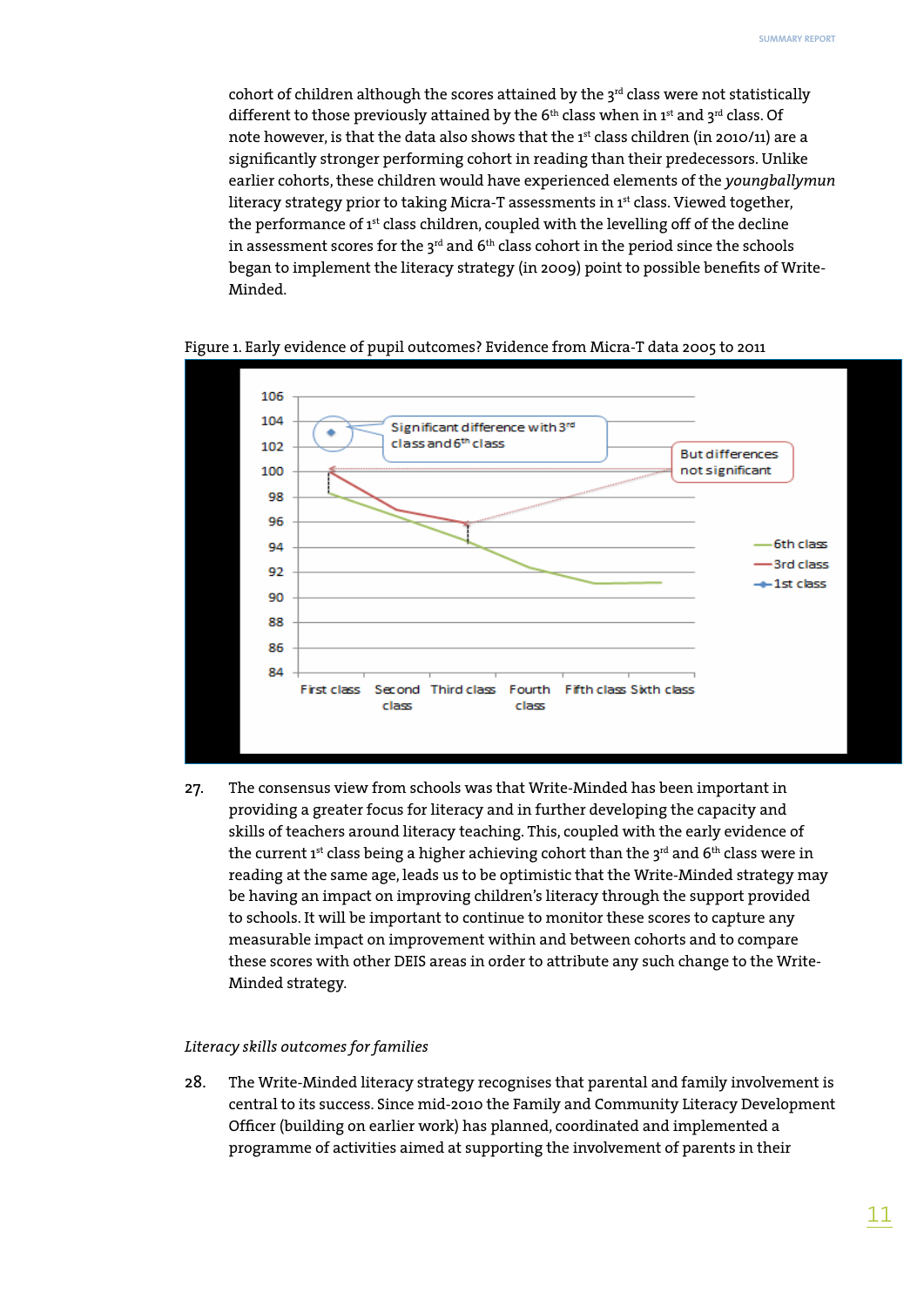cohort of children although the scores attained by the  $3<sup>rd</sup>$  class were not statistically different to those previously attained by the  $6<sup>th</sup>$  class when in  $1<sup>st</sup>$  and  $3<sup>rd</sup>$  class. Of note however, is that the data also shows that the  $1<sup>st</sup>$  class children (in 2010/11) are a significantly stronger performing cohort in reading than their predecessors. Unlike earlier cohorts, these children would have experienced elements of the *youngballymun* literacy strategy prior to taking Micra-T assessments in 1<sup>st</sup> class. Viewed together, the performance of 1<sup>st</sup> class children, coupled with the levelling off of the decline in assessment scores for the  $3<sup>rd</sup>$  and  $6<sup>th</sup>$  class cohort in the period since the schools began to implement the literacy strategy (in 2009) point to possible benefits of Write-Minded.



Figure 1. Early evidence of pupil outcomes? Evidence from Micra-T data 2005 to 2011

27. The consensus view from schools was that Write-Minded has been important in providing a greater focus for literacy and in further developing the capacity and skills of teachers around literacy teaching. This, coupled with the early evidence of the current 1<sup>st</sup> class being a higher achieving cohort than the  $3<sup>rd</sup>$  and 6<sup>th</sup> class were in reading at the same age, leads us to be optimistic that the Write-Minded strategy may be having an impact on improving children's literacy through the support provided to schools. It will be important to continue to monitor these scores to capture any measurable impact on improvement within and between cohorts and to compare these scores with other DEIS areas in order to attribute any such change to the Write-Minded strategy.

#### *Literacy skills outcomes for families*

28. The Write-Minded literacy strategy recognises that parental and family involvement is central to its success. Since mid-2010 the Family and Community Literacy Development Officer (building on earlier work) has planned, coordinated and implemented a programme of activities aimed at supporting the involvement of parents in their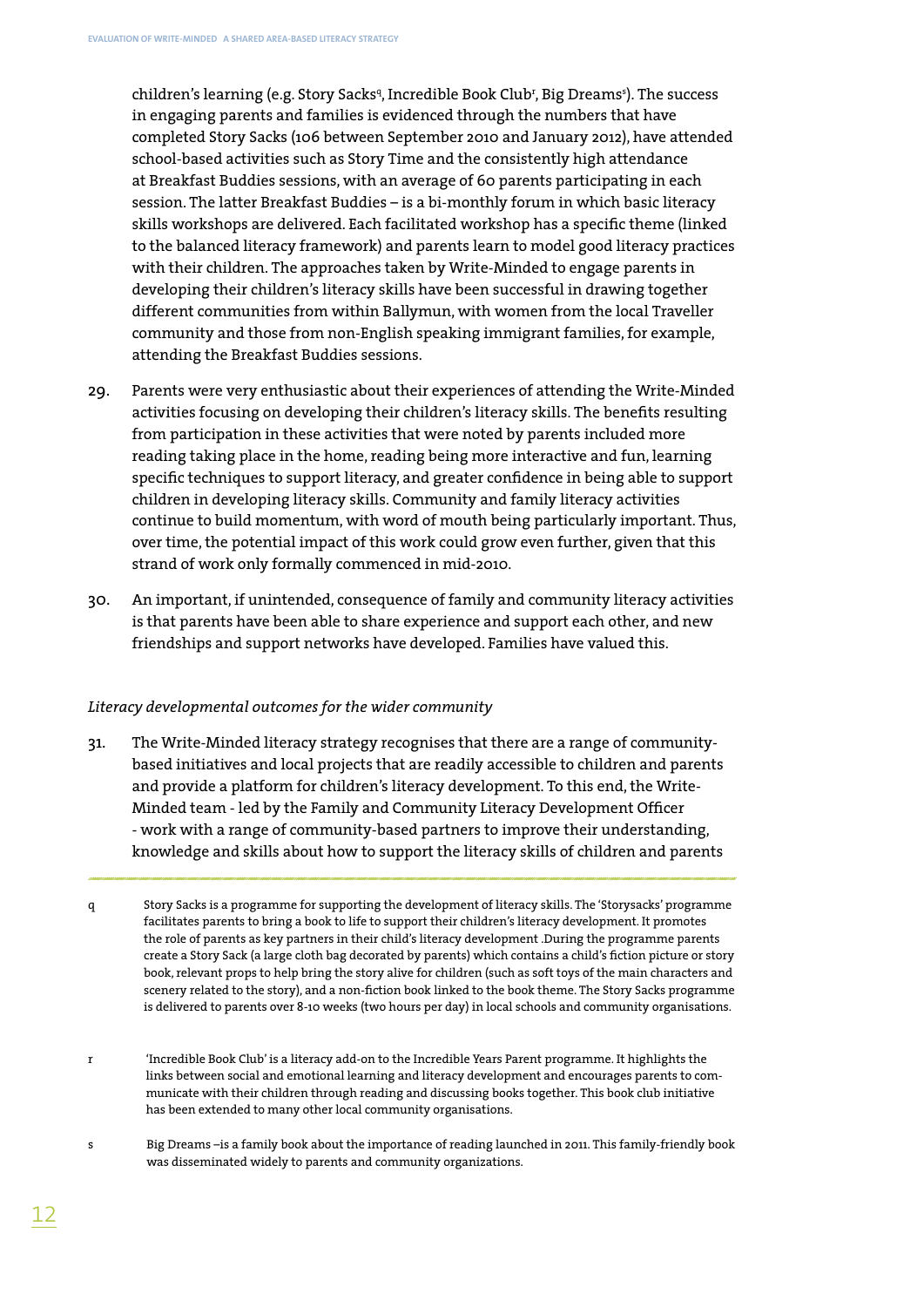children's learning (e.g. Story Sacksª, Incredible Book Club<sup>r</sup>, Big Dreamsª). The success in engaging parents and families is evidenced through the numbers that have completed Story Sacks (106 between September 2010 and January 2012), have attended school-based activities such as Story Time and the consistently high attendance at Breakfast Buddies sessions, with an average of 60 parents participating in each session. The latter Breakfast Buddies – is a bi-monthly forum in which basic literacy skills workshops are delivered. Each facilitated workshop has a specific theme (linked to the balanced literacy framework) and parents learn to model good literacy practices with their children. The approaches taken by Write-Minded to engage parents in developing their children's literacy skills have been successful in drawing together different communities from within Ballymun, with women from the local Traveller community and those from non-English speaking immigrant families, for example, attending the Breakfast Buddies sessions.

- 29. Parents were very enthusiastic about their experiences of attending the Write-Minded activities focusing on developing their children's literacy skills. The benefits resulting from participation in these activities that were noted by parents included more reading taking place in the home, reading being more interactive and fun, learning specific techniques to support literacy, and greater confidence in being able to support children in developing literacy skills. Community and family literacy activities continue to build momentum, with word of mouth being particularly important. Thus, over time, the potential impact of this work could grow even further, given that this strand of work only formally commenced in mid-2010.
- 30. An important, if unintended, consequence of family and community literacy activities is that parents have been able to share experience and support each other, and new friendships and support networks have developed. Families have valued this.

#### *Literacy developmental outcomes for the wider community*

- 31. The Write-Minded literacy strategy recognises that there are a range of communitybased initiatives and local projects that are readily accessible to children and parents and provide a platform for children's literacy development. To this end, the Write-Minded team - led by the Family and Community Literacy Development Officer - work with a range of community-based partners to improve their understanding, knowledge and skills about how to support the literacy skills of children and parents
- q Story Sacks is a programme for supporting the development of literacy skills. The 'Storysacks' programme facilitates parents to bring a book to life to support their children's literacy development. It promotes the role of parents as key partners in their child's literacy development .During the programme parents create a Story Sack (a large cloth bag decorated by parents) which contains a child's fiction picture or story book, relevant props to help bring the story alive for children (such as soft toys of the main characters and scenery related to the story), and a non-fiction book linked to the book theme. The Story Sacks programme is delivered to parents over 8-10 weeks (two hours per day) in local schools and community organisations.
- r 'Incredible Book Club' is a literacy add-on to the Incredible Years Parent programme. It highlights the links between social and emotional learning and literacy development and encourages parents to communicate with their children through reading and discussing books together. This book club initiative has been extended to many other local community organisations.
- s Big Dreams –is a family book about the importance of reading launched in 2011. This family-friendly book was disseminated widely to parents and community organizations.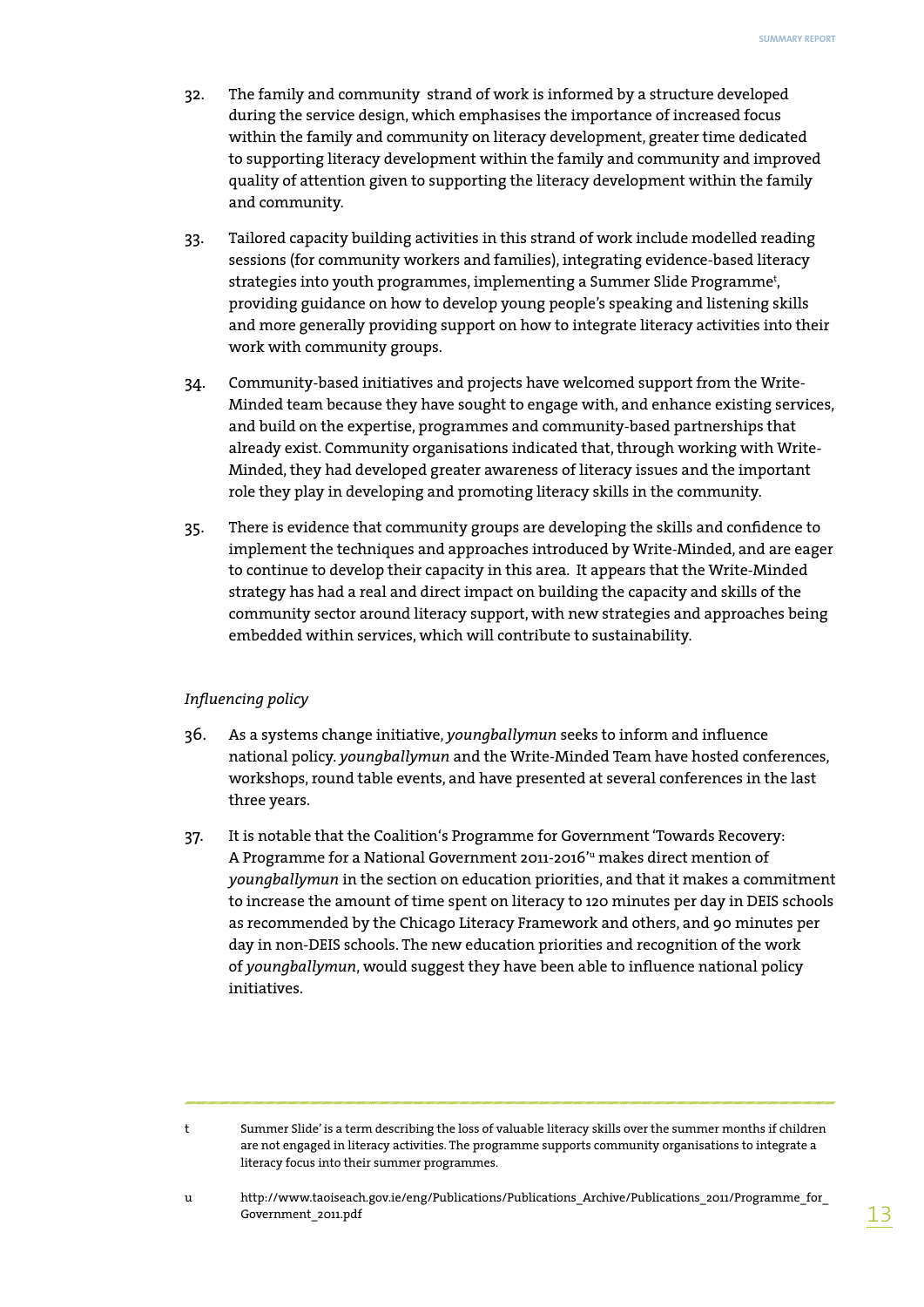- 32. The family and community strand of work is informed by a structure developed during the service design, which emphasises the importance of increased focus within the family and community on literacy development, greater time dedicated to supporting literacy development within the family and community and improved quality of attention given to supporting the literacy development within the family and community.
- 33. Tailored capacity building activities in this strand of work include modelled reading sessions (for community workers and families), integrating evidence-based literacy strategies into youth programmes, implementing a Summer Slide Programmet , providing guidance on how to develop young people's speaking and listening skills and more generally providing support on how to integrate literacy activities into their work with community groups.
- 34. Community-based initiatives and projects have welcomed support from the Write-Minded team because they have sought to engage with, and enhance existing services, and build on the expertise, programmes and community-based partnerships that already exist. Community organisations indicated that, through working with Write-Minded, they had developed greater awareness of literacy issues and the important role they play in developing and promoting literacy skills in the community.
- 35. There is evidence that community groups are developing the skills and confidence to implement the techniques and approaches introduced by Write-Minded, and are eager to continue to develop their capacity in this area. It appears that the Write-Minded strategy has had a real and direct impact on building the capacity and skills of the community sector around literacy support, with new strategies and approaches being embedded within services, which will contribute to sustainability.

#### *Influencing policy*

- 36. As a systems change initiative, *youngballymun* seeks to inform and influence national policy. *youngballymun* and the Write-Minded Team have hosted conferences, workshops, round table events, and have presented at several conferences in the last three years.
- 37. It is notable that the Coalition's Programme for Government 'Towards Recovery: A Programme for a National Government 2011-2016'u makes direct mention of *youngballymun* in the section on education priorities, and that it makes a commitment to increase the amount of time spent on literacy to 120 minutes per day in DEIS schools as recommended by the Chicago Literacy Framework and others, and 90 minutes per day in non-DEIS schools. The new education priorities and recognition of the work of *youngballymun*, would suggest they have been able to influence national policy initiatives.

t Summer Slide' is a term describing the loss of valuable literacy skills over the summer months if children are not engaged in literacy activities. The programme supports community organisations to integrate a literacy focus into their summer programmes.

u http://www.taoiseach.gov.ie/eng/Publications/Publications\_Archive/Publications\_2011/Programme\_for\_ Government\_2011.pdf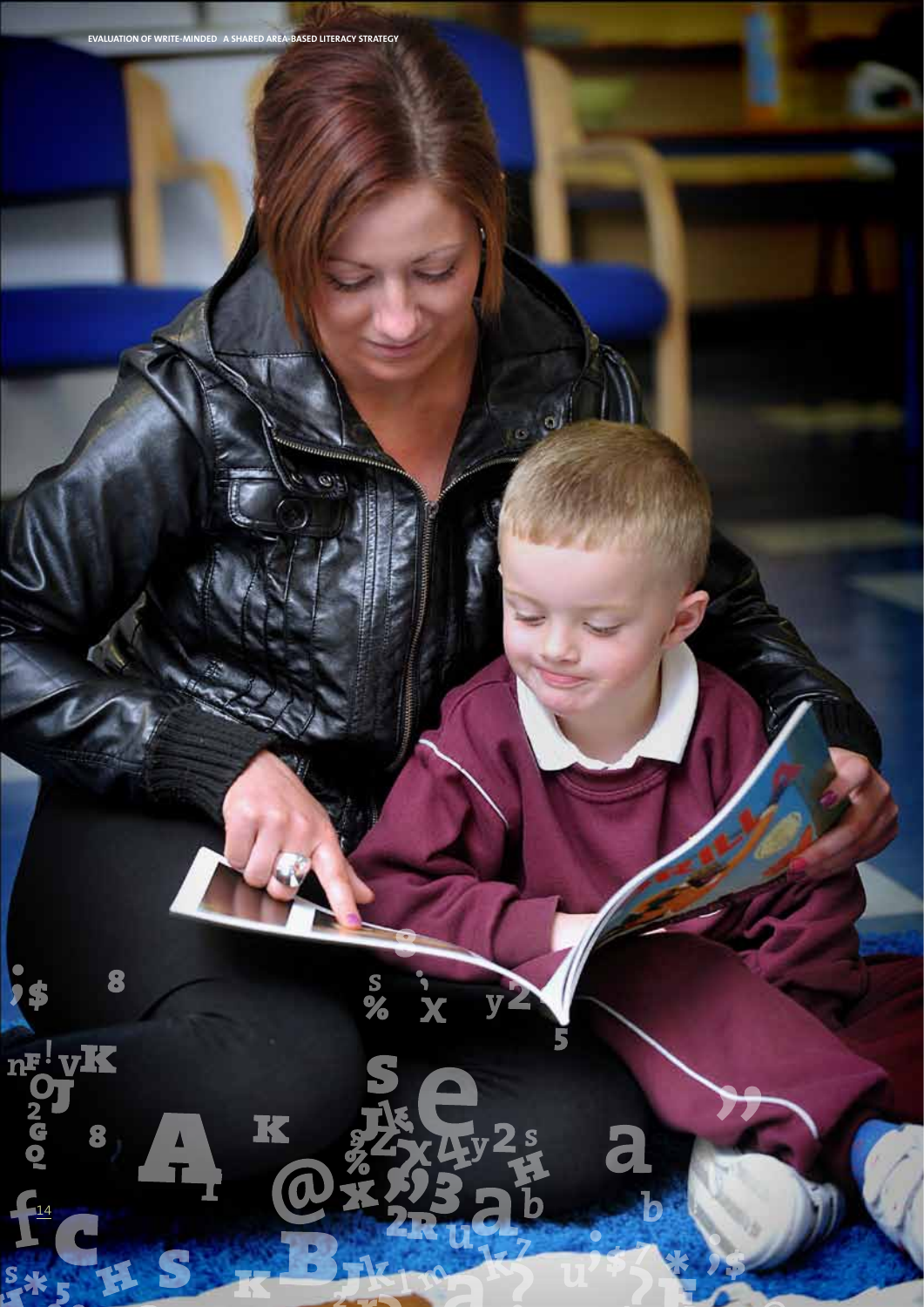$\mathcal{Q}$ 

 $\frac{s}{2}$ 

K

i<br>X

 $\overline{\mathbf{v}}$ 

a

Ø.

14

 $S_{ik}$ 

n<sup>F!</sup>vK

8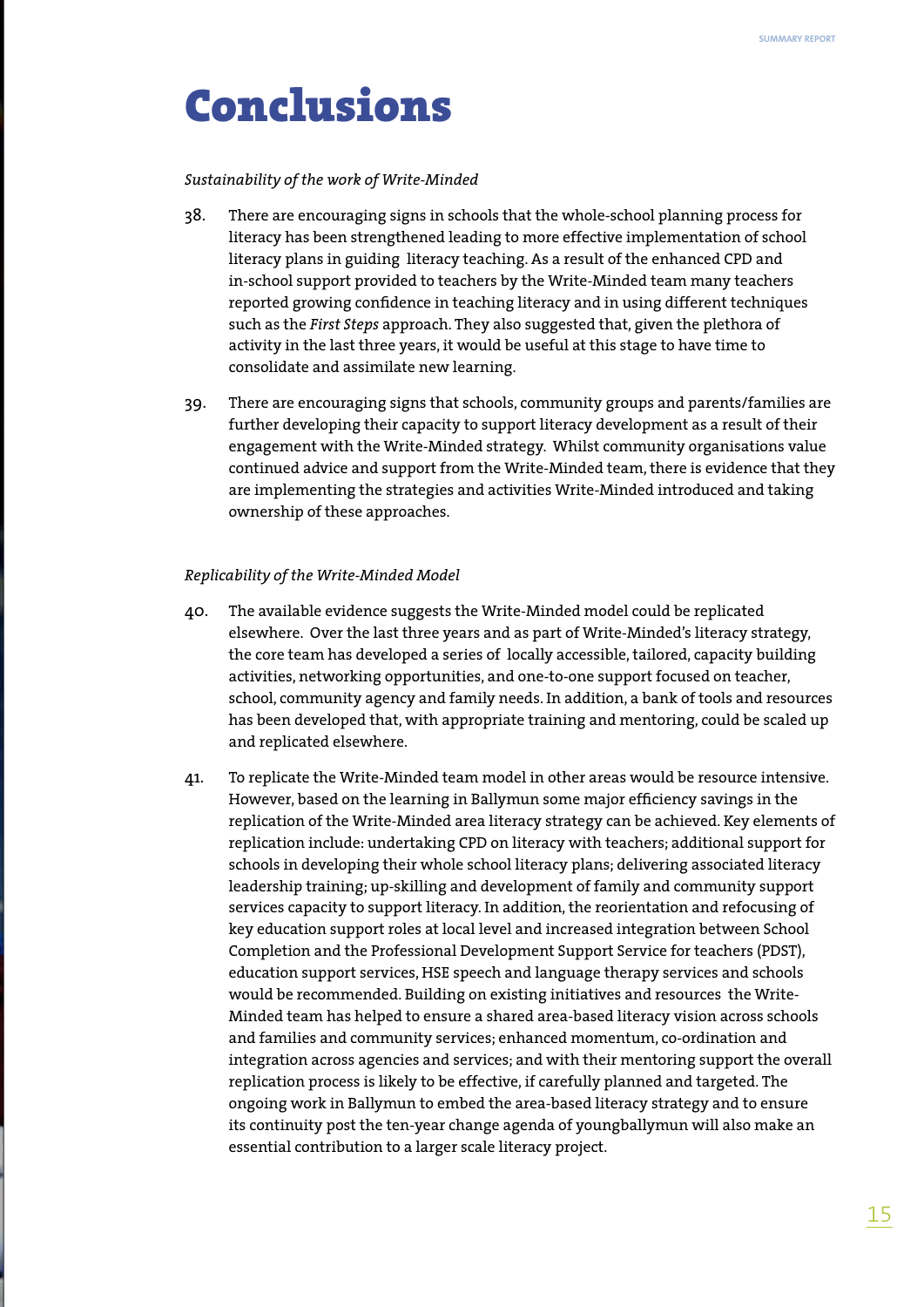### Conclusions

#### *Sustainability of the work of Write-Minded*

- 38. There are encouraging signs in schools that the whole-school planning process for literacy has been strengthened leading to more effective implementation of school literacy plans in guiding literacy teaching. As a result of the enhanced CPD and in-school support provided to teachers by the Write-Minded team many teachers reported growing confidence in teaching literacy and in using different techniques such as the *First Steps* approach. They also suggested that, given the plethora of activity in the last three years, it would be useful at this stage to have time to consolidate and assimilate new learning.
- 39. There are encouraging signs that schools, community groups and parents/families are further developing their capacity to support literacy development as a result of their engagement with the Write-Minded strategy. Whilst community organisations value continued advice and support from the Write-Minded team, there is evidence that they are implementing the strategies and activities Write-Minded introduced and taking ownership of these approaches.

#### *Replicability of the Write-Minded Model*

- 40. The available evidence suggests the Write-Minded model could be replicated elsewhere. Over the last three years and as part of Write-Minded's literacy strategy, the core team has developed a series of locally accessible, tailored, capacity building activities, networking opportunities, and one-to-one support focused on teacher, school, community agency and family needs. In addition, a bank of tools and resources has been developed that, with appropriate training and mentoring, could be scaled up and replicated elsewhere.
- 41. To replicate the Write-Minded team model in other areas would be resource intensive. However, based on the learning in Ballymun some major efficiency savings in the replication of the Write-Minded area literacy strategy can be achieved. Key elements of replication include: undertaking CPD on literacy with teachers; additional support for schools in developing their whole school literacy plans; delivering associated literacy leadership training; up-skilling and development of family and community support services capacity to support literacy. In addition, the reorientation and refocusing of key education support roles at local level and increased integration between School Completion and the Professional Development Support Service for teachers (PDST), education support services, HSE speech and language therapy services and schools would be recommended. Building on existing initiatives and resources the Write-Minded team has helped to ensure a shared area-based literacy vision across schools and families and community services; enhanced momentum, co-ordination and integration across agencies and services; and with their mentoring support the overall replication process is likely to be effective, if carefully planned and targeted. The ongoing work in Ballymun to embed the area-based literacy strategy and to ensure its continuity post the ten-year change agenda of youngballymun will also make an essential contribution to a larger scale literacy project.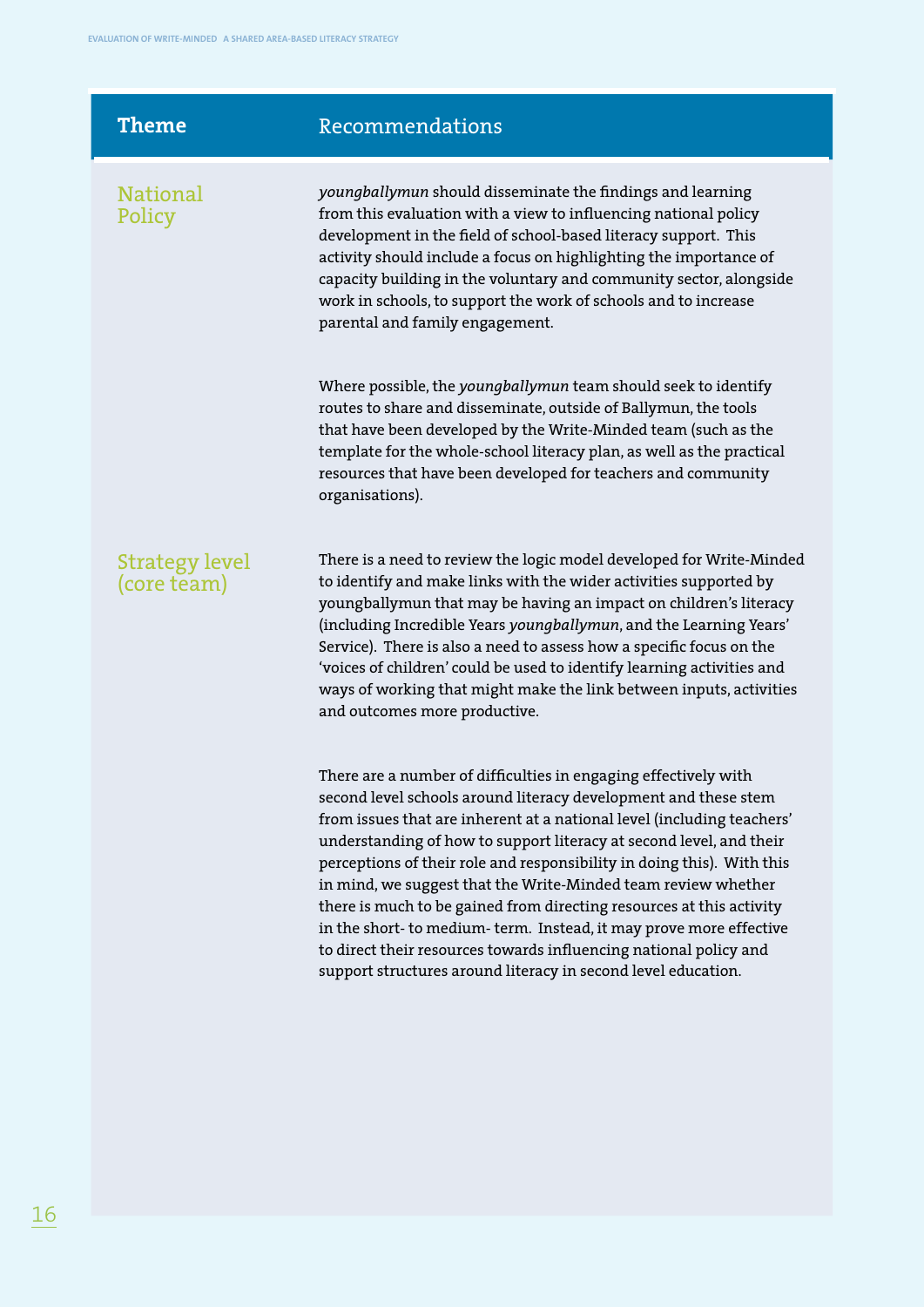| <b>Theme</b>                  | Recommendations                                                                                                                                                                                                                                                                                                                                                                                                                                                                                                                                                                                                                                                                                                   |
|-------------------------------|-------------------------------------------------------------------------------------------------------------------------------------------------------------------------------------------------------------------------------------------------------------------------------------------------------------------------------------------------------------------------------------------------------------------------------------------------------------------------------------------------------------------------------------------------------------------------------------------------------------------------------------------------------------------------------------------------------------------|
| <b>National</b><br>Policy     | youngballymun should disseminate the findings and learning<br>from this evaluation with a view to influencing national policy<br>development in the field of school-based literacy support. This<br>activity should include a focus on highlighting the importance of<br>capacity building in the voluntary and community sector, alongside<br>work in schools, to support the work of schools and to increase<br>parental and family engagement.                                                                                                                                                                                                                                                                 |
|                               | Where possible, the youngballymun team should seek to identify<br>routes to share and disseminate, outside of Ballymun, the tools<br>that have been developed by the Write-Minded team (such as the<br>template for the whole-school literacy plan, as well as the practical<br>resources that have been developed for teachers and community<br>organisations).                                                                                                                                                                                                                                                                                                                                                  |
| Strategy level<br>(core team) | There is a need to review the logic model developed for Write-Minded<br>to identify and make links with the wider activities supported by<br>youngballymun that may be having an impact on children's literacy<br>(including Incredible Years youngballymun, and the Learning Years'<br>Service). There is also a need to assess how a specific focus on the<br>'voices of children' could be used to identify learning activities and<br>ways of working that might make the link between inputs, activities<br>and outcomes more productive.                                                                                                                                                                    |
|                               | There are a number of difficulties in engaging effectively with<br>second level schools around literacy development and these stem<br>from issues that are inherent at a national level (including teachers'<br>understanding of how to support literacy at second level, and their<br>perceptions of their role and responsibility in doing this). With this<br>in mind, we suggest that the Write-Minded team review whether<br>there is much to be gained from directing resources at this activity<br>in the short-to medium-term. Instead, it may prove more effective<br>to direct their resources towards influencing national policy and<br>support structures around literacy in second level education. |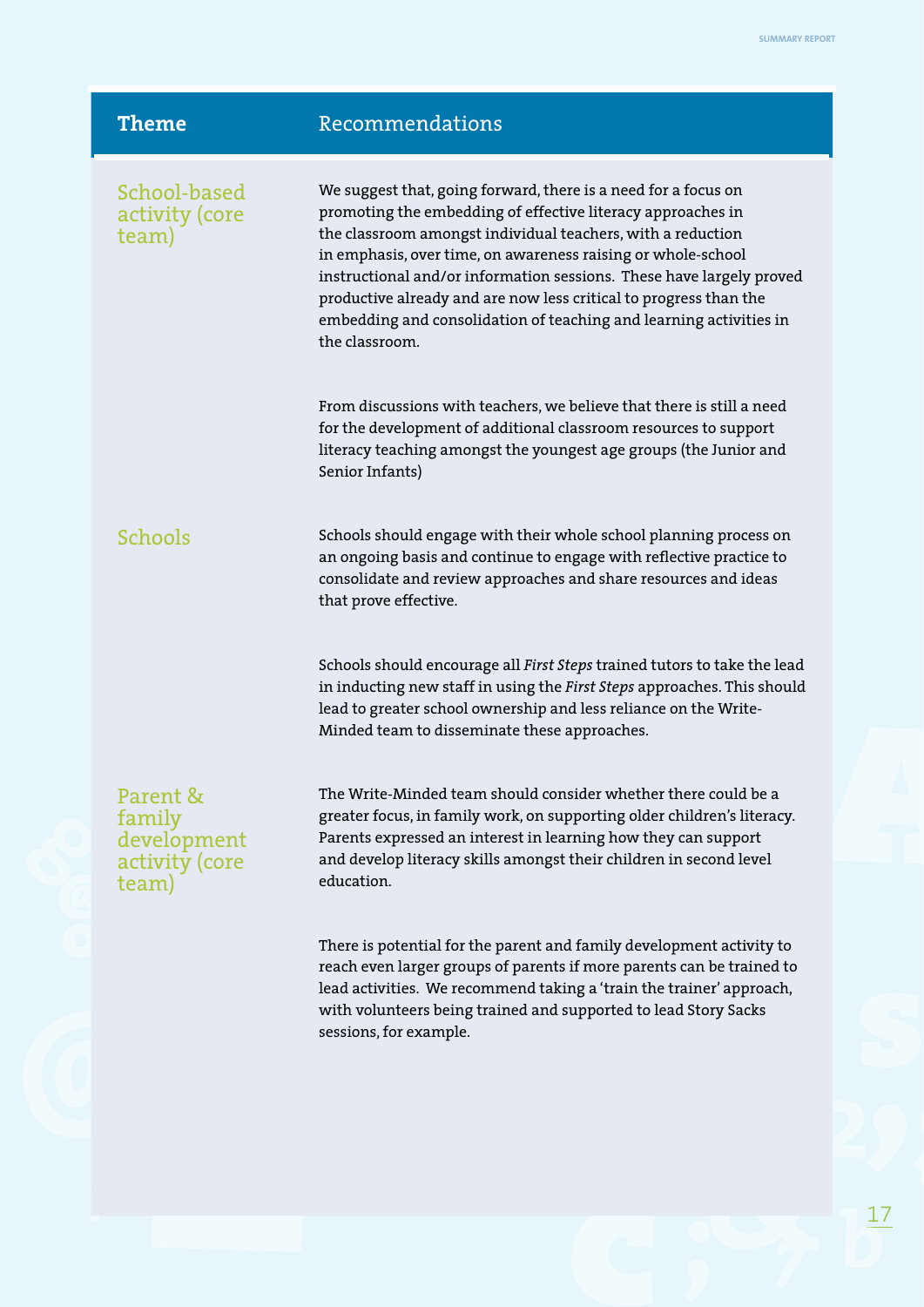| <b>Theme</b>                                                 | Recommendations                                                                                                                                                                                                                                                                                                                                                                                                                                                                                   |
|--------------------------------------------------------------|---------------------------------------------------------------------------------------------------------------------------------------------------------------------------------------------------------------------------------------------------------------------------------------------------------------------------------------------------------------------------------------------------------------------------------------------------------------------------------------------------|
| School-based<br>activity (core<br>team)                      | We suggest that, going forward, there is a need for a focus on<br>promoting the embedding of effective literacy approaches in<br>the classroom amongst individual teachers, with a reduction<br>in emphasis, over time, on awareness raising or whole-school<br>instructional and/or information sessions. These have largely proved<br>productive already and are now less critical to progress than the<br>embedding and consolidation of teaching and learning activities in<br>the classroom. |
|                                                              | From discussions with teachers, we believe that there is still a need<br>for the development of additional classroom resources to support<br>literacy teaching amongst the youngest age groups (the Junior and<br>Senior Infants)                                                                                                                                                                                                                                                                 |
| <b>Schools</b>                                               | Schools should engage with their whole school planning process on<br>an ongoing basis and continue to engage with reflective practice to<br>consolidate and review approaches and share resources and ideas<br>that prove effective.                                                                                                                                                                                                                                                              |
|                                                              | Schools should encourage all First Steps trained tutors to take the lead<br>in inducting new staff in using the First Steps approaches. This should<br>lead to greater school ownership and less reliance on the Write-<br>Minded team to disseminate these approaches.                                                                                                                                                                                                                           |
| Parent &<br>family<br>development<br>activity (core<br>team) | The Write-Minded team should consider whether there could be a<br>greater focus, in family work, on supporting older children's literacy.<br>Parents expressed an interest in learning how they can support<br>and develop literacy skills amongst their children in second level<br>education.                                                                                                                                                                                                   |
|                                                              | There is potential for the parent and family development activity to<br>reach even larger groups of parents if more parents can be trained to<br>lead activities. We recommend taking a 'train the trainer' approach,<br>with volunteers being trained and supported to lead Story Sacks<br>sessions, for example.                                                                                                                                                                                |
|                                                              |                                                                                                                                                                                                                                                                                                                                                                                                                                                                                                   |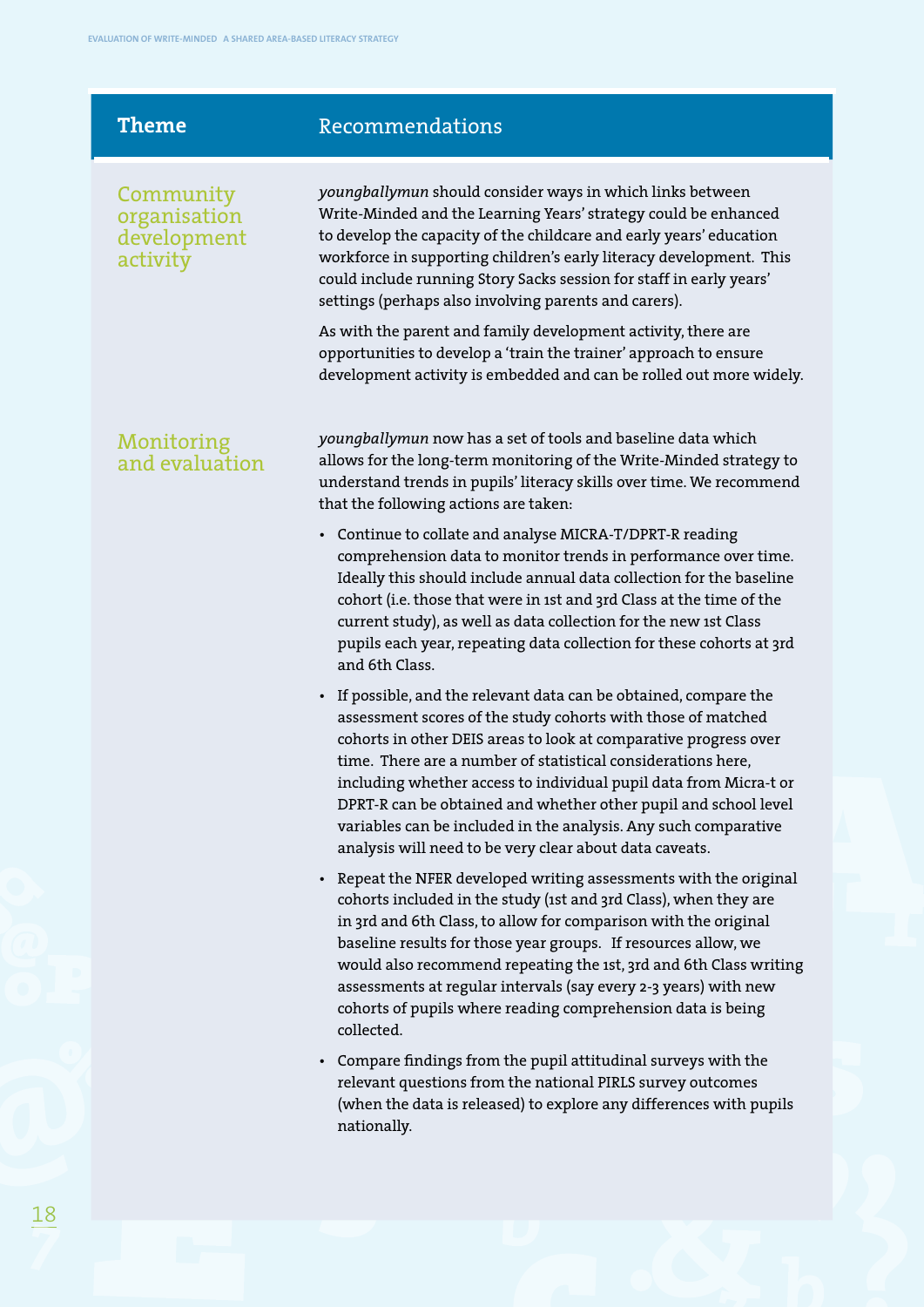| <b>Theme</b>                                         | Recommendations                                                                                                                                                                                                                                                                                                                                                                                                                                                                                                                             |
|------------------------------------------------------|---------------------------------------------------------------------------------------------------------------------------------------------------------------------------------------------------------------------------------------------------------------------------------------------------------------------------------------------------------------------------------------------------------------------------------------------------------------------------------------------------------------------------------------------|
| Community<br>organisation<br>development<br>activity | youngballymun should consider ways in which links between<br>Write-Minded and the Learning Years' strategy could be enhanced<br>to develop the capacity of the childcare and early years' education<br>workforce in supporting children's early literacy development. This<br>could include running Story Sacks session for staff in early years'<br>settings (perhaps also involving parents and carers).                                                                                                                                  |
|                                                      | As with the parent and family development activity, there are<br>opportunities to develop a 'train the trainer' approach to ensure<br>development activity is embedded and can be rolled out more widely.                                                                                                                                                                                                                                                                                                                                   |
| Monitoring<br>and evaluation                         | youngballymun now has a set of tools and baseline data which<br>allows for the long-term monitoring of the Write-Minded strategy to<br>understand trends in pupils' literacy skills over time. We recommend<br>that the following actions are taken:                                                                                                                                                                                                                                                                                        |
|                                                      | • Continue to collate and analyse MICRA-T/DPRT-R reading<br>comprehension data to monitor trends in performance over time.<br>Ideally this should include annual data collection for the baseline<br>cohort (i.e. those that were in 1st and 3rd Class at the time of the<br>current study), as well as data collection for the new 1st Class<br>pupils each year, repeating data collection for these cohorts at 3rd<br>and 6th Class.                                                                                                     |
|                                                      | • If possible, and the relevant data can be obtained, compare the<br>assessment scores of the study cohorts with those of matched<br>cohorts in other DEIS areas to look at comparative progress over<br>time. There are a number of statistical considerations here,<br>including whether access to individual pupil data from Micra-t or<br>DPRT-R can be obtained and whether other pupil and school level<br>variables can be included in the analysis. Any such comparative<br>analysis will need to be very clear about data caveats. |
|                                                      | • Repeat the NFER developed writing assessments with the original<br>cohorts included in the study (1st and 3rd Class), when they are<br>in 3rd and 6th Class, to allow for comparison with the original<br>baseline results for those year groups. If resources allow, we<br>would also recommend repeating the 1st, 3rd and 6th Class writing<br>assessments at regular intervals (say every 2-3 years) with new<br>cohorts of pupils where reading comprehension data is being<br>collected.                                             |
|                                                      | • Compare findings from the pupil attitudinal surveys with the<br>relevant questions from the national PIRLS survey outcomes<br>(when the data is released) to explore any differences with pupils<br>nationally.                                                                                                                                                                                                                                                                                                                           |
|                                                      |                                                                                                                                                                                                                                                                                                                                                                                                                                                                                                                                             |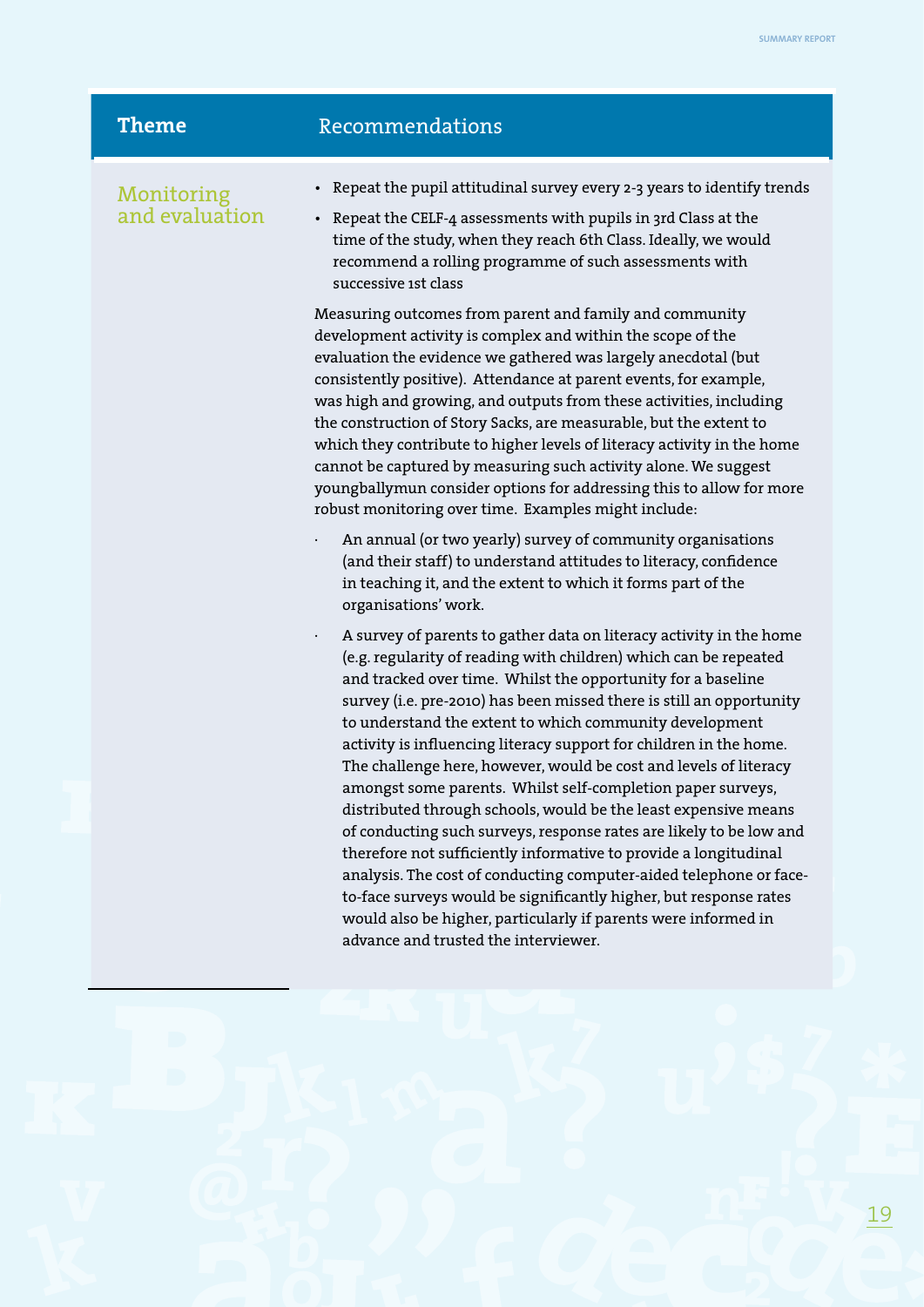| <b>Theme</b>                 | Recommendations                                                                                                                                                                                                                                                                                                                                                                                                                                                                                                                                                                                                                                                                                                                                                                                                                                                                                                                                                                                                                      |
|------------------------------|--------------------------------------------------------------------------------------------------------------------------------------------------------------------------------------------------------------------------------------------------------------------------------------------------------------------------------------------------------------------------------------------------------------------------------------------------------------------------------------------------------------------------------------------------------------------------------------------------------------------------------------------------------------------------------------------------------------------------------------------------------------------------------------------------------------------------------------------------------------------------------------------------------------------------------------------------------------------------------------------------------------------------------------|
| Monitoring<br>and evaluation | • Repeat the pupil attitudinal survey every 2-3 years to identify trends<br>• Repeat the CELF-4 assessments with pupils in 3rd Class at the<br>time of the study, when they reach 6th Class. Ideally, we would<br>recommend a rolling programme of such assessments with<br>successive 1st class                                                                                                                                                                                                                                                                                                                                                                                                                                                                                                                                                                                                                                                                                                                                     |
|                              | Measuring outcomes from parent and family and community<br>development activity is complex and within the scope of the<br>evaluation the evidence we gathered was largely anecdotal (but<br>consistently positive). Attendance at parent events, for example,<br>was high and growing, and outputs from these activities, including<br>the construction of Story Sacks, are measurable, but the extent to<br>which they contribute to higher levels of literacy activity in the home<br>cannot be captured by measuring such activity alone. We suggest<br>youngballymun consider options for addressing this to allow for more<br>robust monitoring over time. Examples might include:                                                                                                                                                                                                                                                                                                                                              |
|                              | An annual (or two yearly) survey of community organisations<br>(and their staff) to understand attitudes to literacy, confidence<br>in teaching it, and the extent to which it forms part of the<br>organisations' work.                                                                                                                                                                                                                                                                                                                                                                                                                                                                                                                                                                                                                                                                                                                                                                                                             |
|                              | A survey of parents to gather data on literacy activity in the home<br>$\bullet$<br>(e.g. regularity of reading with children) which can be repeated<br>and tracked over time. Whilst the opportunity for a baseline<br>survey (i.e. pre-2010) has been missed there is still an opportunity<br>to understand the extent to which community development<br>activity is influencing literacy support for children in the home.<br>The challenge here, however, would be cost and levels of literacy<br>amongst some parents. Whilst self-completion paper surveys,<br>distributed through schools, would be the least expensive means<br>of conducting such surveys, response rates are likely to be low and<br>therefore not sufficiently informative to provide a longitudinal<br>analysis. The cost of conducting computer-aided telephone or face-<br>to-face surveys would be significantly higher, but response rates<br>would also be higher, particularly if parents were informed in<br>advance and trusted the interviewer. |